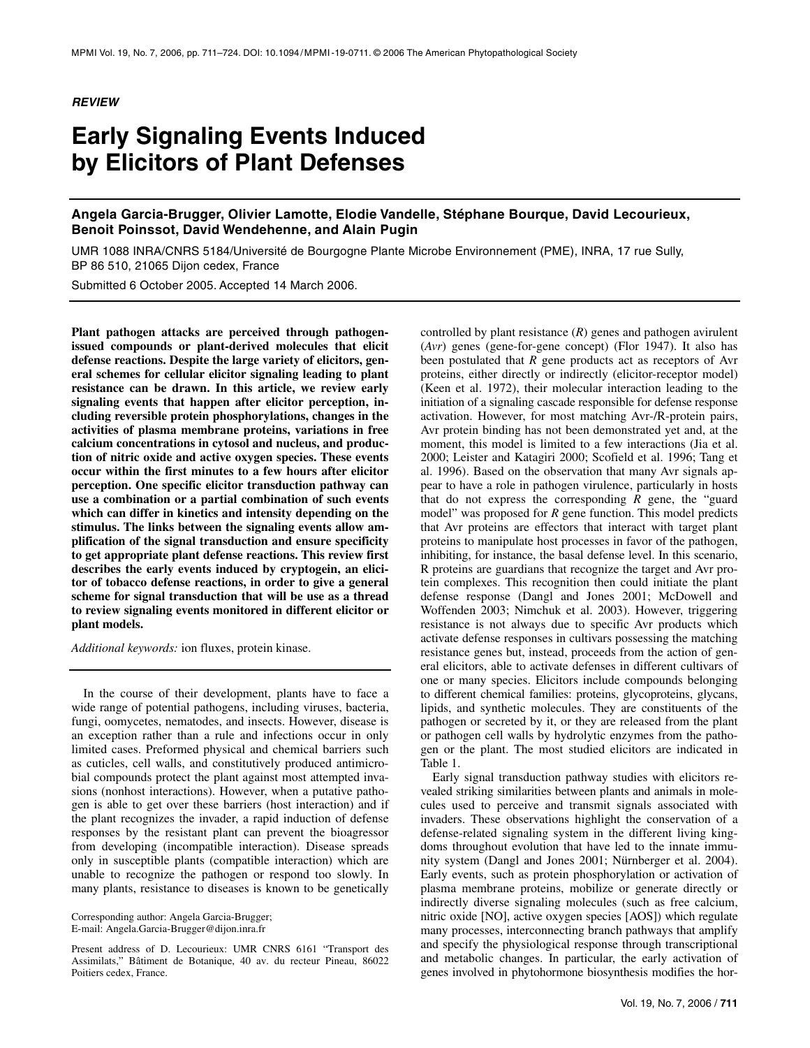# *REVIEW*

# **Early Signaling Events Induced by Elicitors of Plant Defenses**

**Angela Garcia-Brugger, Olivier Lamotte, Elodie Vandelle, Stéphane Bourque, David Lecourieux, Benoit Poinssot, David Wendehenne, and Alain Pugin** 

UMR 1088 INRA/CNRS 5184/Université de Bourgogne Plante Microbe Environnement (PME), INRA, 17 rue Sully, BP 86 510, 21065 Dijon cedex, France

Submitted 6 October 2005. Accepted 14 March 2006.

**Plant pathogen attacks are perceived through pathogenissued compounds or plant-derived molecules that elicit defense reactions. Despite the large variety of elicitors, general schemes for cellular elicitor signaling leading to plant resistance can be drawn. In this article, we review early signaling events that happen after elicitor perception, including reversible protein phosphorylations, changes in the activities of plasma membrane proteins, variations in free calcium concentrations in cytosol and nucleus, and production of nitric oxide and active oxygen species. These events occur within the first minutes to a few hours after elicitor perception. One specific elicitor transduction pathway can use a combination or a partial combination of such events which can differ in kinetics and intensity depending on the stimulus. The links between the signaling events allow amplification of the signal transduction and ensure specificity to get appropriate plant defense reactions. This review first describes the early events induced by cryptogein, an elicitor of tobacco defense reactions, in order to give a general scheme for signal transduction that will be use as a thread to review signaling events monitored in different elicitor or plant models.** 

*Additional keywords:* ion fluxes, protein kinase.

In the course of their development, plants have to face a wide range of potential pathogens, including viruses, bacteria, fungi, oomycetes, nematodes, and insects. However, disease is an exception rather than a rule and infections occur in only limited cases. Preformed physical and chemical barriers such as cuticles, cell walls, and constitutively produced antimicrobial compounds protect the plant against most attempted invasions (nonhost interactions). However, when a putative pathogen is able to get over these barriers (host interaction) and if the plant recognizes the invader, a rapid induction of defense responses by the resistant plant can prevent the bioagressor from developing (incompatible interaction). Disease spreads only in susceptible plants (compatible interaction) which are unable to recognize the pathogen or respond too slowly. In many plants, resistance to diseases is known to be genetically

Corresponding author: Angela Garcia-Brugger; E-mail: Angela.Garcia-Brugger@dijon.inra.fr

Present address of D. Lecourieux: UMR CNRS 6161 "Transport des Assimilats," Bâtiment de Botanique, 40 av. du recteur Pineau, 86022 Poitiers cedex, France.

controlled by plant resistance (*R*) genes and pathogen avirulent (*Avr*) genes (gene-for-gene concept) (Flor 1947). It also has been postulated that *R* gene products act as receptors of Avr proteins, either directly or indirectly (elicitor-receptor model) (Keen et al. 1972), their molecular interaction leading to the initiation of a signaling cascade responsible for defense response activation. However, for most matching Avr-/R-protein pairs, Avr protein binding has not been demonstrated yet and, at the moment, this model is limited to a few interactions (Jia et al. 2000; Leister and Katagiri 2000; Scofield et al. 1996; Tang et al. 1996). Based on the observation that many Avr signals appear to have a role in pathogen virulence, particularly in hosts that do not express the corresponding *R* gene, the "guard model" was proposed for *R* gene function. This model predicts that Avr proteins are effectors that interact with target plant proteins to manipulate host processes in favor of the pathogen, inhibiting, for instance, the basal defense level. In this scenario, R proteins are guardians that recognize the target and Avr protein complexes. This recognition then could initiate the plant defense response (Dangl and Jones 2001; McDowell and Woffenden 2003; Nimchuk et al. 2003). However, triggering resistance is not always due to specific Avr products which activate defense responses in cultivars possessing the matching resistance genes but, instead, proceeds from the action of general elicitors, able to activate defenses in different cultivars of one or many species. Elicitors include compounds belonging to different chemical families: proteins, glycoproteins, glycans, lipids, and synthetic molecules. They are constituents of the pathogen or secreted by it, or they are released from the plant or pathogen cell walls by hydrolytic enzymes from the pathogen or the plant. The most studied elicitors are indicated in Table 1.

Early signal transduction pathway studies with elicitors revealed striking similarities between plants and animals in molecules used to perceive and transmit signals associated with invaders. These observations highlight the conservation of a defense-related signaling system in the different living kingdoms throughout evolution that have led to the innate immunity system (Dangl and Jones 2001; Nürnberger et al. 2004). Early events, such as protein phosphorylation or activation of plasma membrane proteins, mobilize or generate directly or indirectly diverse signaling molecules (such as free calcium, nitric oxide [NO], active oxygen species [AOS]) which regulate many processes, interconnecting branch pathways that amplify and specify the physiological response through transcriptional and metabolic changes. In particular, the early activation of genes involved in phytohormone biosynthesis modifies the hor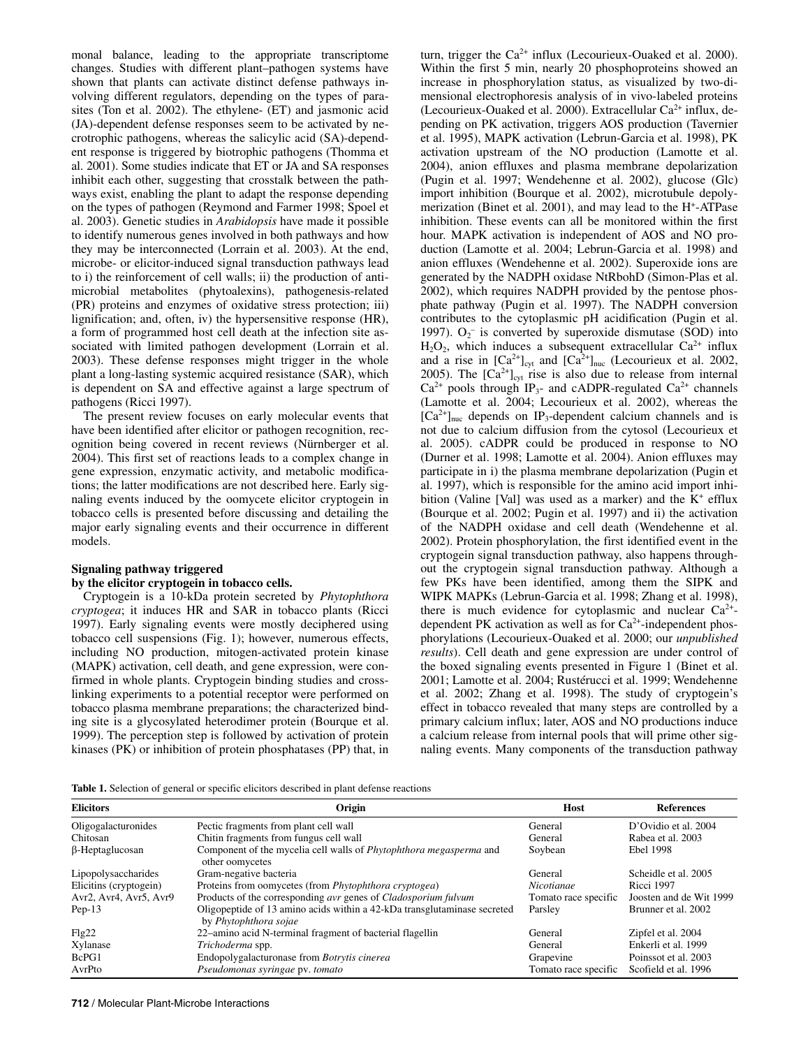monal balance, leading to the appropriate transcriptome changes. Studies with different plant–pathogen systems have shown that plants can activate distinct defense pathways involving different regulators, depending on the types of parasites (Ton et al. 2002). The ethylene- (ET) and jasmonic acid (JA)-dependent defense responses seem to be activated by necrotrophic pathogens, whereas the salicylic acid (SA)-dependent response is triggered by biotrophic pathogens (Thomma et al. 2001). Some studies indicate that ET or JA and SA responses inhibit each other, suggesting that crosstalk between the pathways exist, enabling the plant to adapt the response depending on the types of pathogen (Reymond and Farmer 1998; Spoel et al. 2003). Genetic studies in *Arabidopsis* have made it possible to identify numerous genes involved in both pathways and how they may be interconnected (Lorrain et al. 2003). At the end, microbe- or elicitor-induced signal transduction pathways lead to i) the reinforcement of cell walls; ii) the production of antimicrobial metabolites (phytoalexins), pathogenesis-related (PR) proteins and enzymes of oxidative stress protection; iii) lignification; and, often, iv) the hypersensitive response (HR), a form of programmed host cell death at the infection site associated with limited pathogen development (Lorrain et al. 2003). These defense responses might trigger in the whole plant a long-lasting systemic acquired resistance (SAR), which is dependent on SA and effective against a large spectrum of pathogens (Ricci 1997).

The present review focuses on early molecular events that have been identified after elicitor or pathogen recognition, recognition being covered in recent reviews (Nürnberger et al. 2004). This first set of reactions leads to a complex change in gene expression, enzymatic activity, and metabolic modifications; the latter modifications are not described here. Early signaling events induced by the oomycete elicitor cryptogein in tobacco cells is presented before discussing and detailing the major early signaling events and their occurrence in different models.

# **Signaling pathway triggered by the elicitor cryptogein in tobacco cells.**

Cryptogein is a 10-kDa protein secreted by *Phytophthora cryptogea*; it induces HR and SAR in tobacco plants (Ricci 1997). Early signaling events were mostly deciphered using tobacco cell suspensions (Fig. 1); however, numerous effects, including NO production, mitogen-activated protein kinase (MAPK) activation, cell death, and gene expression, were confirmed in whole plants. Cryptogein binding studies and crosslinking experiments to a potential receptor were performed on tobacco plasma membrane preparations; the characterized binding site is a glycosylated heterodimer protein (Bourque et al. 1999). The perception step is followed by activation of protein kinases (PK) or inhibition of protein phosphatases (PP) that, in turn, trigger the  $Ca^{2+}$  influx (Lecourieux-Ouaked et al. 2000). Within the first 5 min, nearly 20 phosphoproteins showed an increase in phosphorylation status, as visualized by two-dimensional electrophoresis analysis of in vivo-labeled proteins (Lecourieux-Ouaked et al. 2000). Extracellular Ca<sup>2+</sup> influx, depending on PK activation, triggers AOS production (Tavernier et al. 1995), MAPK activation (Lebrun-Garcia et al. 1998), PK activation upstream of the NO production (Lamotte et al. 2004), anion effluxes and plasma membrane depolarization (Pugin et al. 1997; Wendehenne et al. 2002), glucose (Glc) import inhibition (Bourque et al. 2002), microtubule depolymerization (Binet et al. 2001), and may lead to the H<sup>+</sup>-ATPase inhibition. These events can all be monitored within the first hour. MAPK activation is independent of AOS and NO production (Lamotte et al. 2004; Lebrun-Garcia et al. 1998) and anion effluxes (Wendehenne et al. 2002). Superoxide ions are generated by the NADPH oxidase NtRbohD (Simon-Plas et al. 2002), which requires NADPH provided by the pentose phosphate pathway (Pugin et al. 1997). The NADPH conversion contributes to the cytoplasmic pH acidification (Pugin et al. 1997).  $O_2^-$  is converted by superoxide dismutase (SOD) into  $H_2O_2$ , which induces a subsequent extracellular  $Ca^{2+}$  influx and a rise in  $[Ca^{2+}]<sub>cyt</sub>$  and  $[Ca^{2+}]<sub>nuc</sub>$  (Lecourieux et al. 2002, 2005). The  $[Ca^{2+}]_{\text{cyt}}$  rise is also due to release from internal  $Ca^{2+}$  pools through IP<sub>3</sub>- and cADPR-regulated  $Ca^{2+}$  channels (Lamotte et al. 2004; Lecourieux et al. 2002), whereas the  $[Ca^{2+}]_{\text{nuc}}$  depends on IP<sub>3</sub>-dependent calcium channels and is not due to calcium diffusion from the cytosol (Lecourieux et al. 2005). cADPR could be produced in response to NO (Durner et al. 1998; Lamotte et al. 2004). Anion effluxes may participate in i) the plasma membrane depolarization (Pugin et al. 1997), which is responsible for the amino acid import inhibition (Valine [Val] was used as a marker) and the  $K^+$  efflux (Bourque et al. 2002; Pugin et al. 1997) and ii) the activation of the NADPH oxidase and cell death (Wendehenne et al. 2002). Protein phosphorylation, the first identified event in the cryptogein signal transduction pathway, also happens throughout the cryptogein signal transduction pathway. Although a few PKs have been identified, among them the SIPK and WIPK MAPKs (Lebrun-Garcia et al. 1998; Zhang et al. 1998), there is much evidence for cytoplasmic and nuclear  $Ca^{2+}$ dependent PK activation as well as for  $Ca<sup>2+</sup>$ -independent phosphorylations (Lecourieux-Ouaked et al. 2000; our *unpublished results*). Cell death and gene expression are under control of the boxed signaling events presented in Figure 1 (Binet et al. 2001; Lamotte et al. 2004; Rustérucci et al. 1999; Wendehenne et al. 2002; Zhang et al. 1998). The study of cryptogein's effect in tobacco revealed that many steps are controlled by a primary calcium influx; later, AOS and NO productions induce a calcium release from internal pools that will prime other signaling events. Many components of the transduction pathway

**Table 1.** Selection of general or specific elicitors described in plant defense reactions

| <b>Elicitors</b>       | Origin                                                                                            | Host                 | <b>References</b>       |
|------------------------|---------------------------------------------------------------------------------------------------|----------------------|-------------------------|
| Oligogalacturonides    | Pectic fragments from plant cell wall                                                             | General              | D'Ovidio et al. 2004    |
| Chitosan               | Chitin fragments from fungus cell wall                                                            | General              | Rabea et al. 2003       |
| $\beta$ -Heptaglucosan | Component of the mycelia cell walls of <i>Phytophthora megasperma</i> and<br>other oomycetes      | Soybean              | Ebel 1998               |
| Lipopolysaccharides    | Gram-negative bacteria                                                                            | General              | Scheidle et al. 2005    |
| Elicitins (cryptogein) | Proteins from oomycetes (from <i>Phytophthora cryptogea</i> )                                     | Nicotianae           | <b>Ricci 1997</b>       |
| Avr2, Avr4, Avr5, Avr9 | Products of the corresponding avr genes of Cladosporium fulvum                                    | Tomato race specific | Joosten and de Wit 1999 |
| $Pep-13$               | Oligopeptide of 13 amino acids within a 42-kDa transglutaminase secreted<br>by Phytophthora sojae | Parsley              | Brunner et al. 2002     |
| Fig22                  | 22-amino acid N-terminal fragment of bacterial flagellin                                          | General              | Zipfel et al. 2004      |
| Xylanase               | Trichoderma spp.                                                                                  | General              | Enkerli et al. 1999     |
| BcPG1                  | Endopolygalacturonase from Botrytis cinerea                                                       | Grapevine            | Poinssot et al. 2003    |
| AvrPto                 | Pseudomonas syringae py. tomato                                                                   | Tomato race specific | Scofield et al. 1996    |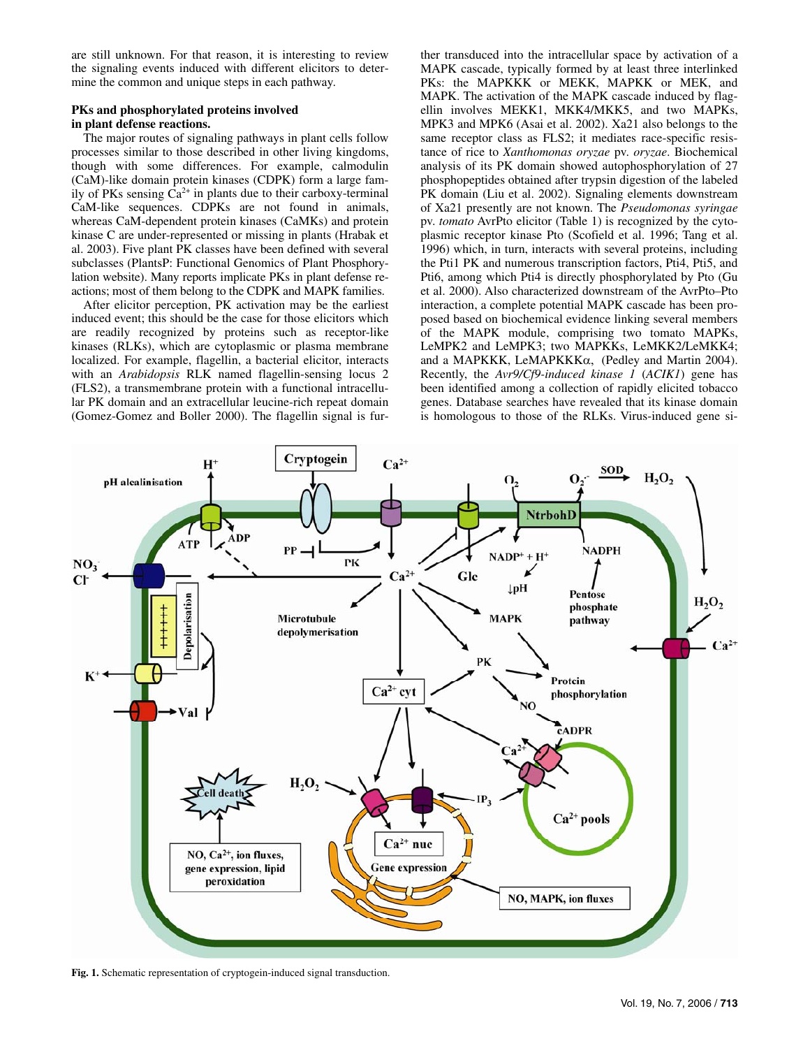are still unknown. For that reason, it is interesting to review the signaling events induced with different elicitors to determine the common and unique steps in each pathway.

## **PKs and phosphorylated proteins involved in plant defense reactions.**

The major routes of signaling pathways in plant cells follow processes similar to those described in other living kingdoms, though with some differences. For example, calmodulin (CaM)-like domain protein kinases (CDPK) form a large family of PKs sensing  $Ca^{2+}$  in plants due to their carboxy-terminal CaM-like sequences. CDPKs are not found in animals, whereas CaM-dependent protein kinases (CaMKs) and protein kinase C are under-represented or missing in plants (Hrabak et al. 2003). Five plant PK classes have been defined with several subclasses (PlantsP: Functional Genomics of Plant Phosphorylation website). Many reports implicate PKs in plant defense reactions; most of them belong to the CDPK and MAPK families.

After elicitor perception, PK activation may be the earliest induced event; this should be the case for those elicitors which are readily recognized by proteins such as receptor-like kinases (RLKs), which are cytoplasmic or plasma membrane localized. For example, flagellin, a bacterial elicitor, interacts with an *Arabidopsis* RLK named flagellin-sensing locus 2 (FLS2), a transmembrane protein with a functional intracellular PK domain and an extracellular leucine-rich repeat domain (Gomez-Gomez and Boller 2000). The flagellin signal is further transduced into the intracellular space by activation of a MAPK cascade, typically formed by at least three interlinked PKs: the MAPKKK or MEKK, MAPKK or MEK, and MAPK. The activation of the MAPK cascade induced by flagellin involves MEKK1, MKK4/MKK5, and two MAPKs, MPK3 and MPK6 (Asai et al. 2002). Xa21 also belongs to the same receptor class as FLS2; it mediates race-specific resistance of rice to *Xanthomonas oryzae* pv. *oryzae*. Biochemical analysis of its PK domain showed autophosphorylation of 27 phosphopeptides obtained after trypsin digestion of the labeled PK domain (Liu et al. 2002). Signaling elements downstream of Xa21 presently are not known. The *Pseudomonas syringae*  pv. *tomato* AvrPto elicitor (Table 1) is recognized by the cytoplasmic receptor kinase Pto (Scofield et al. 1996; Tang et al. 1996) which, in turn, interacts with several proteins, including the Pti1 PK and numerous transcription factors, Pti4, Pti5, and Pti6, among which Pti4 is directly phosphorylated by Pto (Gu et al. 2000). Also characterized downstream of the AvrPto–Pto interaction, a complete potential MAPK cascade has been proposed based on biochemical evidence linking several members of the MAPK module, comprising two tomato MAPKs, LeMPK2 and LeMPK3; two MAPKKs, LeMKK2/LeMKK4; and a MAPKKK, LeMAPKKKα, (Pedley and Martin 2004). Recently, the *Avr9/Cf9-induced kinase 1* (*ACIK1*) gene has been identified among a collection of rapidly elicited tobacco genes. Database searches have revealed that its kinase domain is homologous to those of the RLKs. Virus-induced gene si-



**Fig. 1.** Schematic representation of cryptogein-induced signal transduction.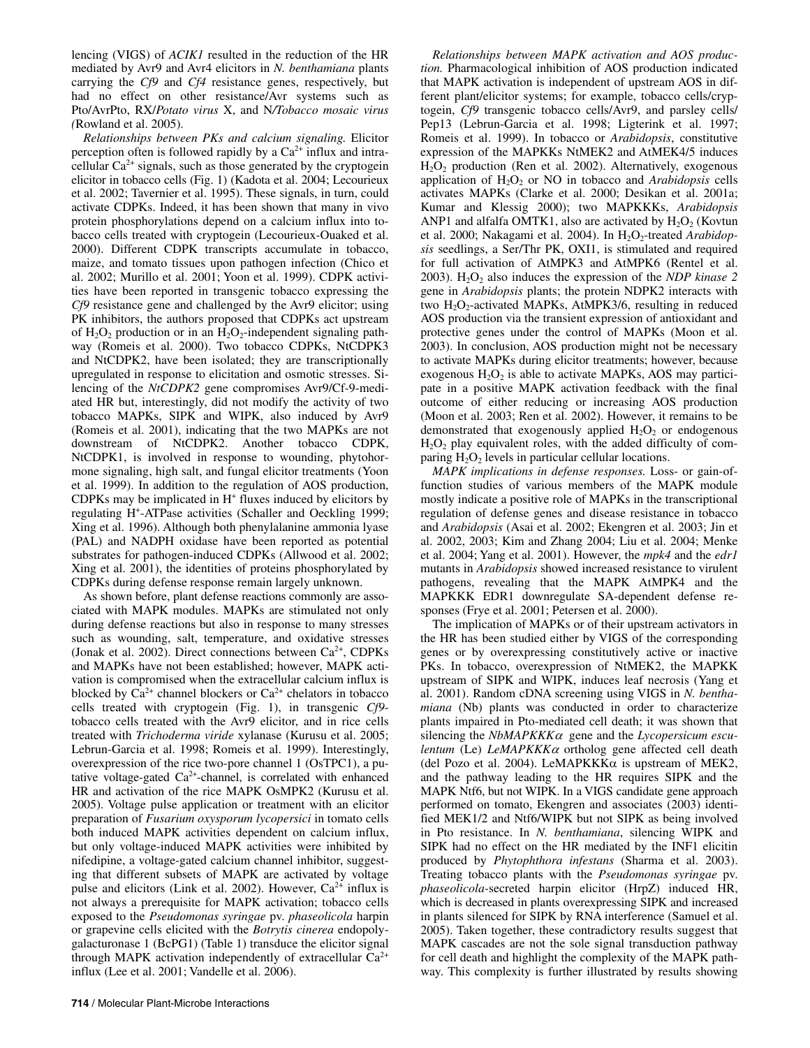lencing (VIGS) of *ACIK1* resulted in the reduction of the HR mediated by Avr9 and Avr4 elicitors in *N. benthamiana* plants carrying the *Cf9* and *Cf4* resistance genes, respectively, but had no effect on other resistance/Avr systems such as Pto/AvrPto, RX/*Potato virus* X, and N*/Tobacco mosaic virus (*Rowland et al. 2005).

*Relationships between PKs and calcium signaling.* Elicitor perception often is followed rapidly by a  $Ca<sup>2+</sup>$  influx and intracellular  $Ca^{2+}$  signals, such as those generated by the cryptogein elicitor in tobacco cells (Fig. 1) (Kadota et al. 2004; Lecourieux et al. 2002; Tavernier et al. 1995). These signals, in turn, could activate CDPKs. Indeed, it has been shown that many in vivo protein phosphorylations depend on a calcium influx into tobacco cells treated with cryptogein (Lecourieux-Ouaked et al. 2000). Different CDPK transcripts accumulate in tobacco, maize, and tomato tissues upon pathogen infection (Chico et al. 2002; Murillo et al. 2001; Yoon et al. 1999). CDPK activities have been reported in transgenic tobacco expressing the *Cf9* resistance gene and challenged by the Avr9 elicitor; using PK inhibitors, the authors proposed that CDPKs act upstream of  $H_2O_2$  production or in an  $H_2O_2$ -independent signaling pathway (Romeis et al. 2000). Two tobacco CDPKs, NtCDPK3 and NtCDPK2, have been isolated; they are transcriptionally upregulated in response to elicitation and osmotic stresses. Silencing of the *NtCDPK2* gene compromises Avr9/Cf-9-mediated HR but, interestingly, did not modify the activity of two tobacco MAPKs, SIPK and WIPK, also induced by Avr9 (Romeis et al. 2001), indicating that the two MAPKs are not downstream of NtCDPK2. Another tobacco CDPK, NtCDPK1, is involved in response to wounding, phytohormone signaling, high salt, and fungal elicitor treatments (Yoon et al. 1999). In addition to the regulation of AOS production, CDPKs may be implicated in  $H^+$  fluxes induced by elicitors by regulating H+ -ATPase activities (Schaller and Oeckling 1999; Xing et al. 1996). Although both phenylalanine ammonia lyase (PAL) and NADPH oxidase have been reported as potential substrates for pathogen-induced CDPKs (Allwood et al. 2002; Xing et al. 2001), the identities of proteins phosphorylated by CDPKs during defense response remain largely unknown.

As shown before, plant defense reactions commonly are associated with MAPK modules. MAPKs are stimulated not only during defense reactions but also in response to many stresses such as wounding, salt, temperature, and oxidative stresses (Jonak et al. 2002). Direct connections between  $Ca^{2+}$ , CDPKs and MAPKs have not been established; however, MAPK activation is compromised when the extracellular calcium influx is blocked by  $Ca^{2+}$  channel blockers or  $Ca^{2+}$  chelators in tobacco cells treated with cryptogein (Fig. 1), in transgenic *Cf9* tobacco cells treated with the Avr9 elicitor, and in rice cells treated with *Trichoderma viride* xylanase (Kurusu et al. 2005; Lebrun-Garcia et al. 1998; Romeis et al. 1999). Interestingly, overexpression of the rice two-pore channel 1 (OsTPC1), a putative voltage-gated Ca2+-channel, is correlated with enhanced HR and activation of the rice MAPK OsMPK2 (Kurusu et al. 2005). Voltage pulse application or treatment with an elicitor preparation of *Fusarium oxysporum lycopersici* in tomato cells both induced MAPK activities dependent on calcium influx, but only voltage-induced MAPK activities were inhibited by nifedipine, a voltage-gated calcium channel inhibitor, suggesting that different subsets of MAPK are activated by voltage pulse and elicitors (Link et al. 2002). However,  $Ca^{2+}$  influx is not always a prerequisite for MAPK activation; tobacco cells exposed to the *Pseudomonas syringae* pv. *phaseolicola* harpin or grapevine cells elicited with the *Botrytis cinerea* endopolygalacturonase 1 (BcPG1) (Table 1) transduce the elicitor signal through MAPK activation independently of extracellular  $Ca^{2+}$ influx (Lee et al. 2001; Vandelle et al. 2006).

*Relationships between MAPK activation and AOS production.* Pharmacological inhibition of AOS production indicated that MAPK activation is independent of upstream AOS in different plant/elicitor systems; for example, tobacco cells/cryptogein, *Cf9* transgenic tobacco cells/Avr9, and parsley cells/ Pep13 (Lebrun-Garcia et al. 1998; Ligterink et al. 1997; Romeis et al. 1999). In tobacco or *Arabidopsis*, constitutive expression of the MAPKKs NtMEK2 and AtMEK4/5 induces H2O2 production (Ren et al. 2002). Alternatively, exogenous application of  $H_2O_2$  or NO in tobacco and *Arabidopsis* cells activates MAPKs (Clarke et al. 2000; Desikan et al. 2001a; Kumar and Klessig 2000); two MAPKKKs, *Arabidopsis* ANP1 and alfalfa OMTK1, also are activated by  $H_2O_2$  (Kovtun et al. 2000; Nakagami et al. 2004). In H<sub>2</sub>O<sub>2</sub>-treated *Arabidopsis* seedlings, a Ser/Thr PK, OXI1, is stimulated and required for full activation of AtMPK3 and AtMPK6 (Rentel et al. 2003). H2O2 also induces the expression of the *NDP kinase 2* gene in *Arabidopsis* plants; the protein NDPK2 interacts with two  $H_2O_2$ -activated MAPKs, AtMPK3/6, resulting in reduced AOS production via the transient expression of antioxidant and protective genes under the control of MAPKs (Moon et al. 2003). In conclusion, AOS production might not be necessary to activate MAPKs during elicitor treatments; however, because exogenous  $H_2O_2$  is able to activate MAPKs, AOS may participate in a positive MAPK activation feedback with the final outcome of either reducing or increasing AOS production (Moon et al. 2003; Ren et al. 2002). However, it remains to be demonstrated that exogenously applied  $H_2O_2$  or endogenous  $H<sub>2</sub>O<sub>2</sub>$  play equivalent roles, with the added difficulty of comparing  $H_2O_2$  levels in particular cellular locations.

*MAPK implications in defense responses.* Loss- or gain-offunction studies of various members of the MAPK module mostly indicate a positive role of MAPKs in the transcriptional regulation of defense genes and disease resistance in tobacco and *Arabidopsis* (Asai et al. 2002; Ekengren et al. 2003; Jin et al. 2002, 2003; Kim and Zhang 2004; Liu et al. 2004; Menke et al. 2004; Yang et al. 2001). However, the *mpk4* and the *edr1* mutants in *Arabidopsis* showed increased resistance to virulent pathogens, revealing that the MAPK AtMPK4 and the MAPKKK EDR1 downregulate SA-dependent defense responses (Frye et al. 2001; Petersen et al. 2000).

The implication of MAPKs or of their upstream activators in the HR has been studied either by VIGS of the corresponding genes or by overexpressing constitutively active or inactive PKs. In tobacco, overexpression of NtMEK2, the MAPKK upstream of SIPK and WIPK, induces leaf necrosis (Yang et al. 2001). Random cDNA screening using VIGS in *N. benthamiana* (Nb) plants was conducted in order to characterize plants impaired in Pto-mediated cell death; it was shown that silencing the *NbMAPKKK*α gene and the *Lycopersicum esculentum* (Le) *LeMAPKKK*<sup>α</sup> ortholog gene affected cell death (del Pozo et al. 2004). LeMAPKKK $\alpha$  is upstream of MEK2, and the pathway leading to the HR requires SIPK and the MAPK Ntf6, but not WIPK. In a VIGS candidate gene approach performed on tomato, Ekengren and associates (2003) identified MEK1/2 and Ntf6/WIPK but not SIPK as being involved in Pto resistance. In *N. benthamiana*, silencing WIPK and SIPK had no effect on the HR mediated by the INF1 elicitin produced by *Phytophthora infestans* (Sharma et al. 2003). Treating tobacco plants with the *Pseudomonas syringae* pv. *phaseolicola-*secreted harpin elicitor (HrpZ) induced HR, which is decreased in plants overexpressing SIPK and increased in plants silenced for SIPK by RNA interference (Samuel et al. 2005). Taken together, these contradictory results suggest that MAPK cascades are not the sole signal transduction pathway for cell death and highlight the complexity of the MAPK pathway. This complexity is further illustrated by results showing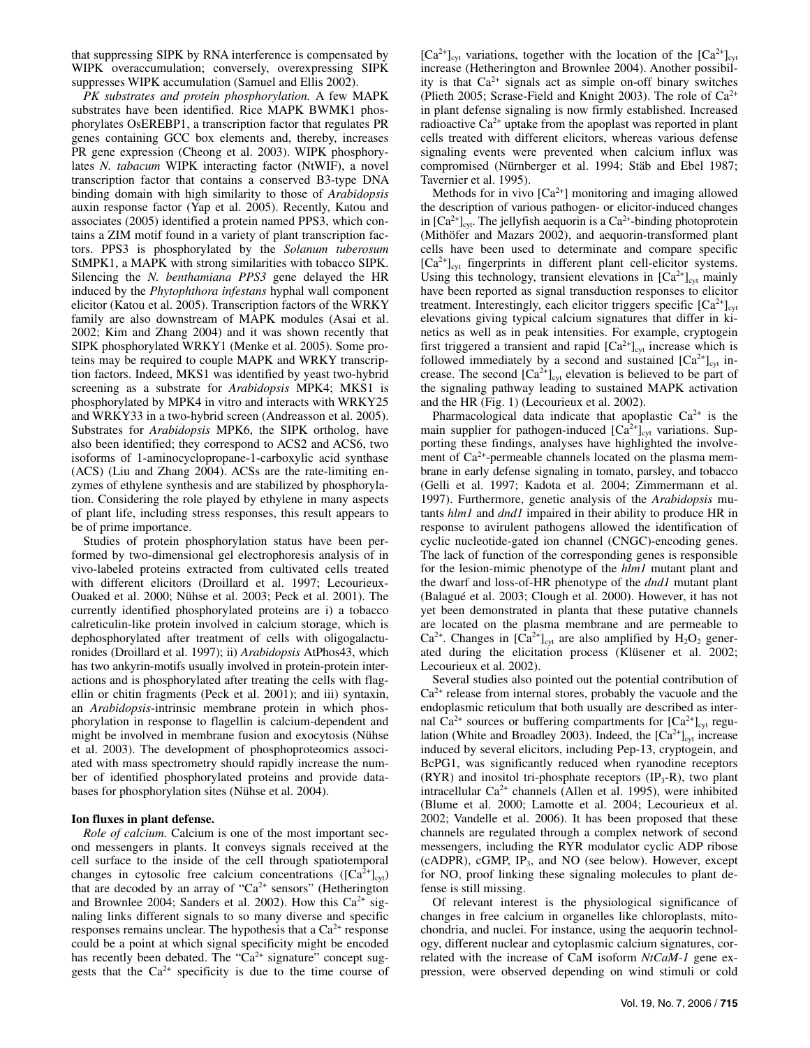that suppressing SIPK by RNA interference is compensated by WIPK overaccumulation; conversely, overexpressing SIPK suppresses WIPK accumulation (Samuel and Ellis 2002).

*PK substrates and protein phosphorylation.* A few MAPK substrates have been identified. Rice MAPK BWMK1 phosphorylates OsEREBP1, a transcription factor that regulates PR genes containing GCC box elements and, thereby, increases PR gene expression (Cheong et al. 2003). WIPK phosphorylates *N. tabacum* WIPK interacting factor (NtWIF), a novel transcription factor that contains a conserved B3-type DNA binding domain with high similarity to those of *Arabidopsis* auxin response factor (Yap et al. 2005). Recently, Katou and associates (2005) identified a protein named PPS3, which contains a ZIM motif found in a variety of plant transcription factors. PPS3 is phosphorylated by the *Solanum tuberosum* StMPK1, a MAPK with strong similarities with tobacco SIPK. Silencing the *N. benthamiana PPS3* gene delayed the HR induced by the *Phytophthora infestans* hyphal wall component elicitor (Katou et al. 2005). Transcription factors of the WRKY family are also downstream of MAPK modules (Asai et al. 2002; Kim and Zhang 2004) and it was shown recently that SIPK phosphorylated WRKY1 (Menke et al. 2005). Some proteins may be required to couple MAPK and WRKY transcription factors. Indeed, MKS1 was identified by yeast two-hybrid screening as a substrate for *Arabidopsis* MPK4; MKS1 is phosphorylated by MPK4 in vitro and interacts with WRKY25 and WRKY33 in a two-hybrid screen (Andreasson et al. 2005). Substrates for *Arabidopsis* MPK6, the SIPK ortholog, have also been identified; they correspond to ACS2 and ACS6, two isoforms of 1-aminocyclopropane-1-carboxylic acid synthase (ACS) (Liu and Zhang 2004). ACSs are the rate-limiting enzymes of ethylene synthesis and are stabilized by phosphorylation. Considering the role played by ethylene in many aspects of plant life, including stress responses, this result appears to be of prime importance.

Studies of protein phosphorylation status have been performed by two-dimensional gel electrophoresis analysis of in vivo-labeled proteins extracted from cultivated cells treated with different elicitors (Droillard et al. 1997; Lecourieux-Ouaked et al. 2000; Nühse et al. 2003; Peck et al. 2001). The currently identified phosphorylated proteins are i) a tobacco calreticulin-like protein involved in calcium storage, which is dephosphorylated after treatment of cells with oligogalacturonides (Droillard et al. 1997); ii) *Arabidopsis* AtPhos43, which has two ankyrin-motifs usually involved in protein-protein interactions and is phosphorylated after treating the cells with flagellin or chitin fragments (Peck et al. 2001); and iii) syntaxin, an *Arabidopsis*-intrinsic membrane protein in which phosphorylation in response to flagellin is calcium-dependent and might be involved in membrane fusion and exocytosis (Nühse et al. 2003). The development of phosphoproteomics associated with mass spectrometry should rapidly increase the number of identified phosphorylated proteins and provide databases for phosphorylation sites (Nühse et al. 2004).

#### **Ion fluxes in plant defense.**

*Role of calcium.* Calcium is one of the most important second messengers in plants. It conveys signals received at the cell surface to the inside of the cell through spatiotemporal changes in cytosolic free calcium concentrations ( $[Ca^{\bar{2}+}]_{\text{cv}}$ ) that are decoded by an array of "Ca<sup>2+</sup> sensors" (Hetherington and Brownlee 2004; Sanders et al. 2002). How this  $Ca^{2+}$  signaling links different signals to so many diverse and specific responses remains unclear. The hypothesis that a Ca<sup>2+</sup> response could be a point at which signal specificity might be encoded has recently been debated. The " $\hat{Ca}^{2+}$  signature" concept suggests that the  $Ca^{2+}$  specificity is due to the time course of  $[Ca^{2+}]<sub>cut</sub>$  variations, together with the location of the  $[Ca^{2+}]<sub>cut</sub>$ increase (Hetherington and Brownlee 2004). Another possibility is that  $Ca^{2+}$  signals act as simple on-off binary switches (Plieth 2005; Scrase-Field and Knight 2003). The role of  $Ca^{2+}$ in plant defense signaling is now firmly established. Increased radioactive  $Ca^{2+}$  uptake from the apoplast was reported in plant cells treated with different elicitors, whereas various defense signaling events were prevented when calcium influx was compromised (Nürnberger et al. 1994; Stäb and Ebel 1987; Tavernier et al. 1995).

Methods for in vivo  $[Ca^{2+}]$  monitoring and imaging allowed the description of various pathogen- or elicitor-induced changes in  $[Ca^{2+}]_{\text{cvt}}$ . The jellyfish aequorin is a  $Ca^{2+}$ -binding photoprotein (Mithöfer and Mazars 2002), and aequorin-transformed plant cells have been used to determinate and compare specific  $[Ca<sup>2+</sup>]_{\text{cvt}}$  fingerprints in different plant cell-elicitor systems. Using this technology, transient elevations in  $[Ca^{2+}]<sub>cyt</sub>$  mainly have been reported as signal transduction responses to elicitor treatment. Interestingly, each elicitor triggers specific  $[Ca^{2+}]<sub>cyt</sub>$ elevations giving typical calcium signatures that differ in kinetics as well as in peak intensities. For example, cryptogein first triggered a transient and rapid  $[Ca^{2+}]<sub>cyt</sub>}$  increase which is followed immediately by a second and sustained  $[Ca^{2+}]<sub>cyt</sub>$  increase. The second  $[Ca^{2+}]<sub>cyt</sub>$  elevation is believed to be part of the signaling pathway leading to sustained MAPK activation and the HR (Fig. 1) (Lecourieux et al. 2002).

Pharmacological data indicate that apoplastic  $Ca^{2+}$  is the main supplier for pathogen-induced  $[Ca^{2+}]<sub>cyt</sub>$  variations. Supporting these findings, analyses have highlighted the involvement of Ca<sup>2+</sup>-permeable channels located on the plasma membrane in early defense signaling in tomato, parsley, and tobacco (Gelli et al. 1997; Kadota et al. 2004; Zimmermann et al. 1997). Furthermore, genetic analysis of the *Arabidopsis* mutants *hlm1* and *dnd1* impaired in their ability to produce HR in response to avirulent pathogens allowed the identification of cyclic nucleotide-gated ion channel (CNGC)-encoding genes. The lack of function of the corresponding genes is responsible for the lesion-mimic phenotype of the *hlm1* mutant plant and the dwarf and loss-of-HR phenotype of the *dnd1* mutant plant (Balagué et al. 2003; Clough et al. 2000). However, it has not yet been demonstrated in planta that these putative channels are located on the plasma membrane and are permeable to  $Ca^{2+}$ . Changes in  $[Ca^{2+}]_{\text{cyt}}$  are also amplified by  $H_2O_2$  generated during the elicitation process (Klüsener et al. 2002; Lecourieux et al. 2002).

Several studies also pointed out the potential contribution of  $Ca<sup>2+</sup>$  release from internal stores, probably the vacuole and the endoplasmic reticulum that both usually are described as internal Ca<sup>2+</sup> sources or buffering compartments for  $[Ca^{2+}]_{\text{cvt}}$  regulation (White and Broadley 2003). Indeed, the  $\left[\text{Ca}^{2+}\right]_{\text{cyt}}$  increase induced by several elicitors, including Pep-13, cryptogein, and BcPG1, was significantly reduced when ryanodine receptors (RYR) and inositol tri-phosphate receptors (IP<sub>3</sub>-R), two plant intracellular  $Ca^{2+}$  channels (Allen et al. 1995), were inhibited (Blume et al. 2000; Lamotte et al. 2004; Lecourieux et al. 2002; Vandelle et al. 2006). It has been proposed that these channels are regulated through a complex network of second messengers, including the RYR modulator cyclic ADP ribose  $(cADPR)$ ,  $cGMP$ ,  $IP_3$ , and NO (see below). However, except for NO, proof linking these signaling molecules to plant defense is still missing.

Of relevant interest is the physiological significance of changes in free calcium in organelles like chloroplasts, mitochondria, and nuclei. For instance, using the aequorin technology, different nuclear and cytoplasmic calcium signatures, correlated with the increase of CaM isoform *NtCaM-1* gene expression, were observed depending on wind stimuli or cold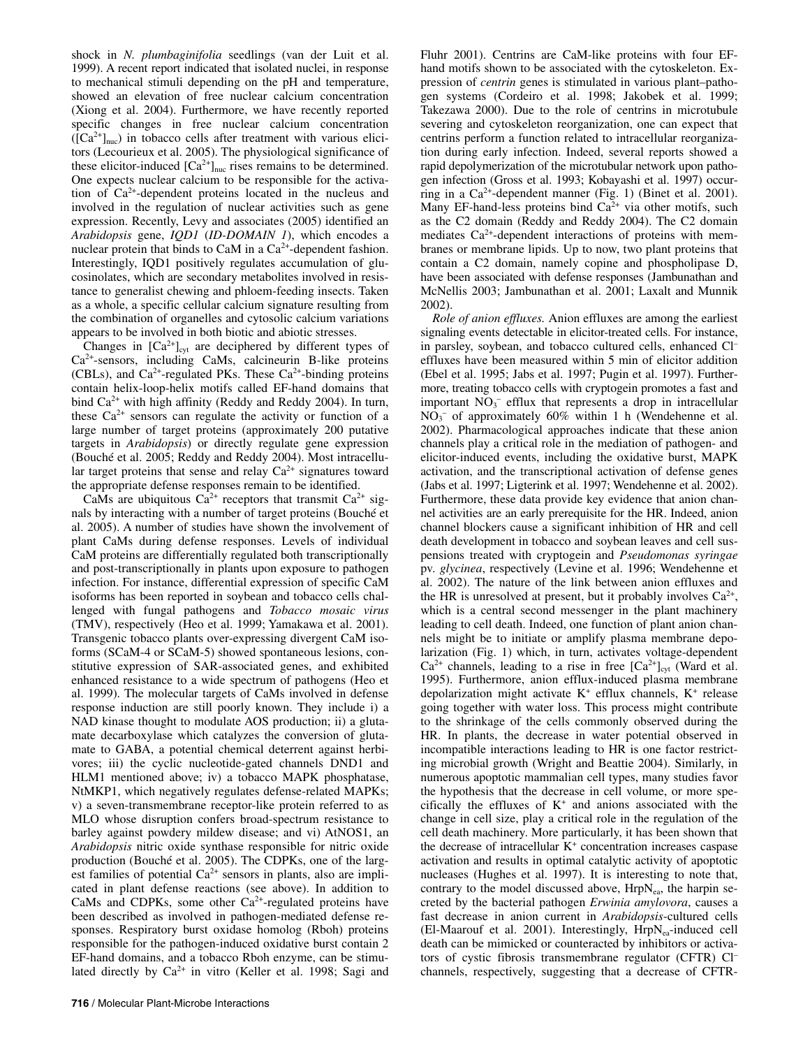shock in *N. plumbaginifolia* seedlings (van der Luit et al. 1999). A recent report indicated that isolated nuclei, in response to mechanical stimuli depending on the pH and temperature, showed an elevation of free nuclear calcium concentration (Xiong et al. 2004). Furthermore, we have recently reported specific changes in free nuclear calcium concentration  $([Ca<sup>2+</sup>]<sub>nuc</sub>)$  in tobacco cells after treatment with various elicitors (Lecourieux et al. 2005). The physiological significance of these elicitor-induced  $[Ca^{2+}]<sub>nuc</sub>$  rises remains to be determined. One expects nuclear calcium to be responsible for the activation of Ca2+-dependent proteins located in the nucleus and involved in the regulation of nuclear activities such as gene expression. Recently, Levy and associates (2005) identified an *Arabidopsis* gene, *IQD1* (*ID-DOMAIN 1*), which encodes a nuclear protein that binds to CaM in a  $Ca^{2+}$ -dependent fashion. Interestingly, IQD1 positively regulates accumulation of glucosinolates, which are secondary metabolites involved in resistance to generalist chewing and phloem-feeding insects. Taken as a whole, a specific cellular calcium signature resulting from the combination of organelles and cytosolic calcium variations appears to be involved in both biotic and abiotic stresses.

Changes in  $[Ca^{2+}]<sub>cyt</sub>$  are deciphered by different types of Ca2+-sensors, including CaMs, calcineurin B-like proteins (CBLs), and  $Ca^{2+}$ -regulated PKs. These  $Ca^{2+}$ -binding proteins contain helix-loop-helix motifs called EF-hand domains that bind  $Ca^{2+}$  with high affinity (Reddy and Reddy 2004). In turn, these  $Ca^{2+}$  sensors can regulate the activity or function of a large number of target proteins (approximately 200 putative targets in *Arabidopsis*) or directly regulate gene expression (Bouché et al. 2005; Reddy and Reddy 2004). Most intracellular target proteins that sense and relay  $Ca^{2+}$  signatures toward the appropriate defense responses remain to be identified.

CaMs are ubiquitous  $Ca^{2+}$  receptors that transmit  $Ca^{2+}$  signals by interacting with a number of target proteins (Bouché et al. 2005). A number of studies have shown the involvement of plant CaMs during defense responses. Levels of individual CaM proteins are differentially regulated both transcriptionally and post-transcriptionally in plants upon exposure to pathogen infection. For instance, differential expression of specific CaM isoforms has been reported in soybean and tobacco cells challenged with fungal pathogens and *Tobacco mosaic virus* (TMV), respectively (Heo et al. 1999; Yamakawa et al. 2001). Transgenic tobacco plants over-expressing divergent CaM isoforms (SCaM-4 or SCaM-5) showed spontaneous lesions, constitutive expression of SAR-associated genes, and exhibited enhanced resistance to a wide spectrum of pathogens (Heo et al. 1999). The molecular targets of CaMs involved in defense response induction are still poorly known. They include i) a NAD kinase thought to modulate AOS production; ii) a glutamate decarboxylase which catalyzes the conversion of glutamate to GABA, a potential chemical deterrent against herbivores; iii) the cyclic nucleotide-gated channels DND1 and HLM1 mentioned above; iv) a tobacco MAPK phosphatase, NtMKP1, which negatively regulates defense-related MAPKs; v) a seven-transmembrane receptor-like protein referred to as MLO whose disruption confers broad-spectrum resistance to barley against powdery mildew disease; and vi) AtNOS1, an *Arabidopsis* nitric oxide synthase responsible for nitric oxide production (Bouché et al. 2005). The CDPKs, one of the largest families of potential  $Ca^{2+}$  sensors in plants, also are implicated in plant defense reactions (see above). In addition to CaMs and CDPKs, some other  $Ca^{2+}$ -regulated proteins have been described as involved in pathogen-mediated defense responses. Respiratory burst oxidase homolog (Rboh) proteins responsible for the pathogen-induced oxidative burst contain 2 EF-hand domains, and a tobacco Rboh enzyme, can be stimulated directly by  $Ca^{2+}$  in vitro (Keller et al. 1998; Sagi and

Fluhr 2001). Centrins are CaM-like proteins with four EFhand motifs shown to be associated with the cytoskeleton. Expression of *centrin* genes is stimulated in various plant–pathogen systems (Cordeiro et al. 1998; Jakobek et al. 1999; Takezawa 2000). Due to the role of centrins in microtubule severing and cytoskeleton reorganization, one can expect that centrins perform a function related to intracellular reorganization during early infection. Indeed, several reports showed a rapid depolymerization of the microtubular network upon pathogen infection (Gross et al. 1993; Kobayashi et al. 1997) occurring in a  $Ca^{2+}$ -dependent manner (Fig. 1) (Binet et al. 2001). Many EF-hand-less proteins bind  $Ca^{2+}$  via other motifs, such as the C2 domain (Reddy and Reddy 2004). The C2 domain mediates  $Ca<sup>2+</sup>$ -dependent interactions of proteins with membranes or membrane lipids. Up to now, two plant proteins that contain a C2 domain, namely copine and phospholipase D, have been associated with defense responses (Jambunathan and McNellis 2003; Jambunathan et al. 2001; Laxalt and Munnik 2002).

*Role of anion effluxes.* Anion effluxes are among the earliest signaling events detectable in elicitor-treated cells. For instance, in parsley, soybean, and tobacco cultured cells, enhanced Cl– effluxes have been measured within 5 min of elicitor addition (Ebel et al. 1995; Jabs et al. 1997; Pugin et al. 1997). Furthermore, treating tobacco cells with cryptogein promotes a fast and important  $NO<sub>3</sub><sup>-</sup>$  efflux that represents a drop in intracellular NO<sub>3</sub><sup>-</sup> of approximately 60% within 1 h (Wendehenne et al. 2002). Pharmacological approaches indicate that these anion channels play a critical role in the mediation of pathogen- and elicitor-induced events, including the oxidative burst, MAPK activation, and the transcriptional activation of defense genes (Jabs et al. 1997; Ligterink et al. 1997; Wendehenne et al. 2002). Furthermore, these data provide key evidence that anion channel activities are an early prerequisite for the HR. Indeed, anion channel blockers cause a significant inhibition of HR and cell death development in tobacco and soybean leaves and cell suspensions treated with cryptogein and *Pseudomonas syringae* pv. *glycinea*, respectively (Levine et al. 1996; Wendehenne et al. 2002). The nature of the link between anion effluxes and the HR is unresolved at present, but it probably involves  $Ca^{2+}$ , which is a central second messenger in the plant machinery leading to cell death. Indeed, one function of plant anion channels might be to initiate or amplify plasma membrane depolarization (Fig. 1) which, in turn, activates voltage-dependent  $Ca^{2+}$  channels, leading to a rise in free  $[Ca^{2+}]\text{cot}$  (Ward et al. 1995). Furthermore, anion efflux-induced plasma membrane depolarization might activate  $K^+$  efflux channels,  $K^+$  release going together with water loss. This process might contribute to the shrinkage of the cells commonly observed during the HR. In plants, the decrease in water potential observed in incompatible interactions leading to HR is one factor restricting microbial growth (Wright and Beattie 2004). Similarly, in numerous apoptotic mammalian cell types, many studies favor the hypothesis that the decrease in cell volume, or more specifically the effluxes of  $K^+$  and anions associated with the change in cell size, play a critical role in the regulation of the cell death machinery. More particularly, it has been shown that the decrease of intracellular K<sup>+</sup> concentration increases caspase activation and results in optimal catalytic activity of apoptotic nucleases (Hughes et al. 1997). It is interesting to note that, contrary to the model discussed above, HrpN<sub>ea</sub>, the harpin secreted by the bacterial pathogen *Erwinia amylovora*, causes a fast decrease in anion current in *Arabidopsis*-cultured cells (El-Maarouf et al. 2001). Interestingly,  $HrpN<sub>ea</sub>-induced$  cell death can be mimicked or counteracted by inhibitors or activators of cystic fibrosis transmembrane regulator (CFTR) Cl– channels, respectively, suggesting that a decrease of CFTR-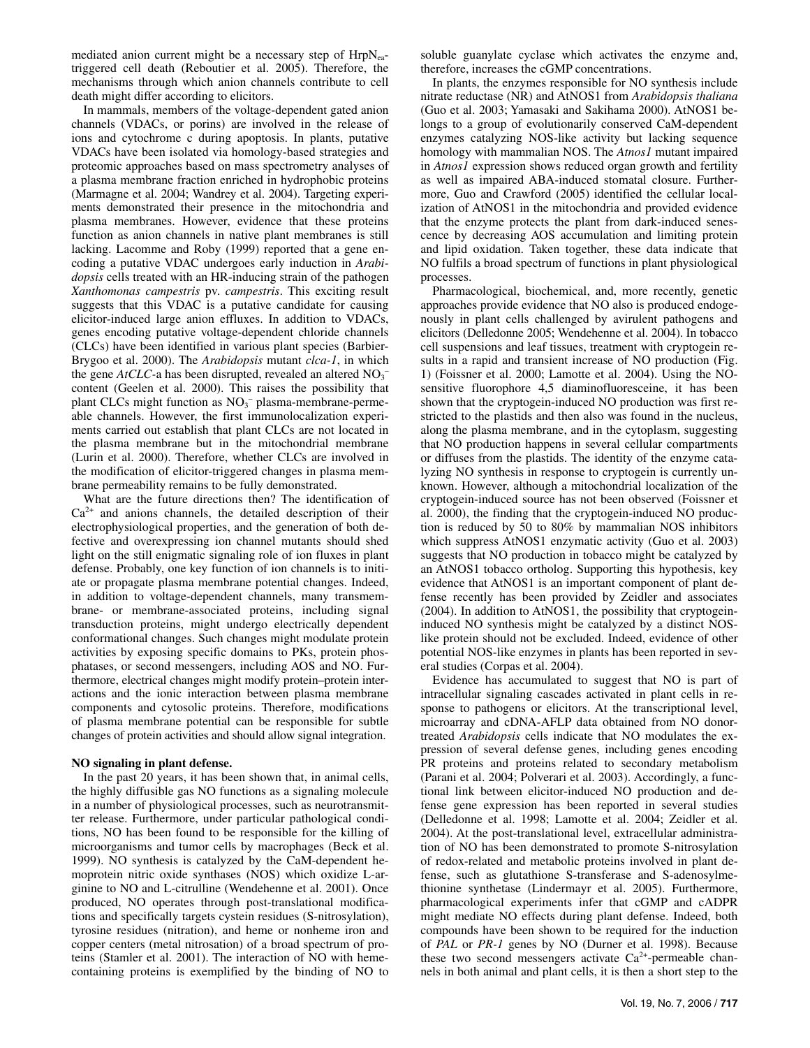mediated anion current might be a necessary step of  $HrpN_{eq}$ triggered cell death (Reboutier et al. 2005). Therefore, the mechanisms through which anion channels contribute to cell death might differ according to elicitors.

In mammals, members of the voltage-dependent gated anion channels (VDACs, or porins) are involved in the release of ions and cytochrome c during apoptosis. In plants, putative VDACs have been isolated via homology-based strategies and proteomic approaches based on mass spectrometry analyses of a plasma membrane fraction enriched in hydrophobic proteins (Marmagne et al. 2004; Wandrey et al. 2004). Targeting experiments demonstrated their presence in the mitochondria and plasma membranes. However, evidence that these proteins function as anion channels in native plant membranes is still lacking. Lacomme and Roby (1999) reported that a gene encoding a putative VDAC undergoes early induction in *Arabidopsis* cells treated with an HR-inducing strain of the pathogen *Xanthomonas campestris* pv. *campestris*. This exciting result suggests that this VDAC is a putative candidate for causing elicitor-induced large anion effluxes. In addition to VDACs, genes encoding putative voltage-dependent chloride channels (CLCs) have been identified in various plant species (Barbier-Brygoo et al. 2000). The *Arabidopsis* mutant *clca-1*, in which the gene  $AtCLC$ -a has been disrupted, revealed an altered  $NO<sub>3</sub>$ <sup>-</sup> content (Geelen et al. 2000). This raises the possibility that plant CLCs might function as NO<sub>3</sub><sup>-</sup> plasma-membrane-permeable channels. However, the first immunolocalization experiments carried out establish that plant CLCs are not located in the plasma membrane but in the mitochondrial membrane (Lurin et al. 2000). Therefore, whether CLCs are involved in the modification of elicitor-triggered changes in plasma membrane permeability remains to be fully demonstrated.

What are the future directions then? The identification of  $Ca<sup>2+</sup>$  and anions channels, the detailed description of their electrophysiological properties, and the generation of both defective and overexpressing ion channel mutants should shed light on the still enigmatic signaling role of ion fluxes in plant defense. Probably, one key function of ion channels is to initiate or propagate plasma membrane potential changes. Indeed, in addition to voltage-dependent channels, many transmembrane- or membrane-associated proteins, including signal transduction proteins, might undergo electrically dependent conformational changes. Such changes might modulate protein activities by exposing specific domains to PKs, protein phosphatases, or second messengers, including AOS and NO. Furthermore, electrical changes might modify protein–protein interactions and the ionic interaction between plasma membrane components and cytosolic proteins. Therefore, modifications of plasma membrane potential can be responsible for subtle changes of protein activities and should allow signal integration.

## **NO signaling in plant defense.**

In the past 20 years, it has been shown that, in animal cells, the highly diffusible gas NO functions as a signaling molecule in a number of physiological processes, such as neurotransmitter release. Furthermore, under particular pathological conditions, NO has been found to be responsible for the killing of microorganisms and tumor cells by macrophages (Beck et al. 1999). NO synthesis is catalyzed by the CaM-dependent hemoprotein nitric oxide synthases (NOS) which oxidize L-arginine to NO and L-citrulline (Wendehenne et al. 2001). Once produced, NO operates through post-translational modifications and specifically targets cystein residues (S-nitrosylation), tyrosine residues (nitration), and heme or nonheme iron and copper centers (metal nitrosation) of a broad spectrum of proteins (Stamler et al. 2001). The interaction of NO with hemecontaining proteins is exemplified by the binding of NO to

soluble guanylate cyclase which activates the enzyme and, therefore, increases the cGMP concentrations.

In plants, the enzymes responsible for NO synthesis include nitrate reductase (NR) and AtNOS1 from *Arabidopsis thaliana* (Guo et al. 2003; Yamasaki and Sakihama 2000). AtNOS1 belongs to a group of evolutionarily conserved CaM-dependent enzymes catalyzing NOS-like activity but lacking sequence homology with mammalian NOS. The *Atnos1* mutant impaired in *Atnos1* expression shows reduced organ growth and fertility as well as impaired ABA-induced stomatal closure. Furthermore, Guo and Crawford (2005) identified the cellular localization of AtNOS1 in the mitochondria and provided evidence that the enzyme protects the plant from dark-induced senescence by decreasing AOS accumulation and limiting protein and lipid oxidation. Taken together, these data indicate that NO fulfils a broad spectrum of functions in plant physiological processes.

Pharmacological, biochemical, and, more recently, genetic approaches provide evidence that NO also is produced endogenously in plant cells challenged by avirulent pathogens and elicitors (Delledonne 2005; Wendehenne et al. 2004). In tobacco cell suspensions and leaf tissues, treatment with cryptogein results in a rapid and transient increase of NO production (Fig. 1) (Foissner et al. 2000; Lamotte et al. 2004). Using the NOsensitive fluorophore 4,5 diaminofluoresceine, it has been shown that the cryptogein-induced NO production was first restricted to the plastids and then also was found in the nucleus, along the plasma membrane, and in the cytoplasm, suggesting that NO production happens in several cellular compartments or diffuses from the plastids. The identity of the enzyme catalyzing NO synthesis in response to cryptogein is currently unknown. However, although a mitochondrial localization of the cryptogein-induced source has not been observed (Foissner et al. 2000), the finding that the cryptogein-induced NO production is reduced by 50 to 80% by mammalian NOS inhibitors which suppress AtNOS1 enzymatic activity (Guo et al. 2003) suggests that NO production in tobacco might be catalyzed by an AtNOS1 tobacco ortholog. Supporting this hypothesis, key evidence that AtNOS1 is an important component of plant defense recently has been provided by Zeidler and associates (2004). In addition to AtNOS1, the possibility that cryptogeininduced NO synthesis might be catalyzed by a distinct NOSlike protein should not be excluded. Indeed, evidence of other potential NOS-like enzymes in plants has been reported in several studies (Corpas et al. 2004).

Evidence has accumulated to suggest that NO is part of intracellular signaling cascades activated in plant cells in response to pathogens or elicitors. At the transcriptional level, microarray and cDNA-AFLP data obtained from NO donortreated *Arabidopsis* cells indicate that NO modulates the expression of several defense genes, including genes encoding PR proteins and proteins related to secondary metabolism (Parani et al. 2004; Polverari et al. 2003). Accordingly, a functional link between elicitor-induced NO production and defense gene expression has been reported in several studies (Delledonne et al. 1998; Lamotte et al. 2004; Zeidler et al. 2004). At the post-translational level, extracellular administration of NO has been demonstrated to promote S-nitrosylation of redox-related and metabolic proteins involved in plant defense, such as glutathione S-transferase and S-adenosylmethionine synthetase (Lindermayr et al. 2005). Furthermore, pharmacological experiments infer that cGMP and cADPR might mediate NO effects during plant defense. Indeed, both compounds have been shown to be required for the induction of *PAL* or *PR-1* genes by NO (Durner et al. 1998). Because these two second messengers activate  $Ca^{2+}$ -permeable channels in both animal and plant cells, it is then a short step to the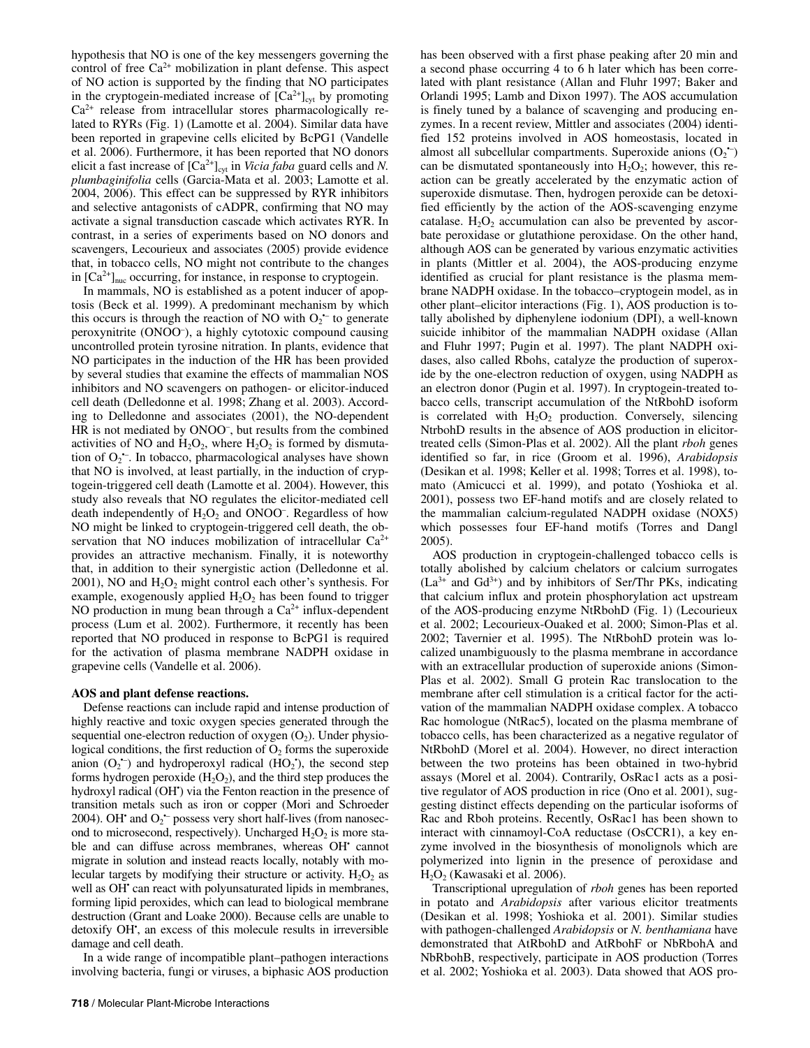hypothesis that NO is one of the key messengers governing the control of free  $Ca^{2+}$  mobilization in plant defense. This aspect of NO action is supported by the finding that NO participates in the cryptogein-mediated increase of  $[Ca^{2+}]<sub>cut</sub>$  by promoting  $Ca<sup>2+</sup>$  release from intracellular stores pharmacologically related to RYRs (Fig. 1) (Lamotte et al. 2004). Similar data have been reported in grapevine cells elicited by BcPG1 (Vandelle et al. 2006). Furthermore, it has been reported that NO donors elicit a fast increase of  $[Ca^{2+}]_{\text{cyt}}$  in *Vicia faba* guard cells and *N*. *plumbaginifolia* cells (Garcia-Mata et al. 2003; Lamotte et al. 2004, 2006). This effect can be suppressed by RYR inhibitors and selective antagonists of cADPR, confirming that NO may activate a signal transduction cascade which activates RYR. In contrast, in a series of experiments based on NO donors and scavengers, Lecourieux and associates (2005) provide evidence that, in tobacco cells, NO might not contribute to the changes in  $[Ca^{2+}]_{\text{nuc}}$  occurring, for instance, in response to cryptogein.

In mammals, NO is established as a potent inducer of apoptosis (Beck et al. 1999). A predominant mechanism by which this occurs is through the reaction of NO with  $O_2$  to generate peroxynitrite (ONOO– ), a highly cytotoxic compound causing uncontrolled protein tyrosine nitration. In plants, evidence that NO participates in the induction of the HR has been provided by several studies that examine the effects of mammalian NOS inhibitors and NO scavengers on pathogen- or elicitor-induced cell death (Delledonne et al. 1998; Zhang et al. 2003). According to Delledonne and associates (2001), the NO-dependent HR is not mediated by ONOO<sup>-</sup>, but results from the combined activities of NO and  $H_2O_2$ , where  $H_2O_2$  is formed by dismutation of O<sub>2</sub><sup>\*</sup>. In tobacco, pharmacological analyses have shown that NO is involved, at least partially, in the induction of cryptogein-triggered cell death (Lamotte et al. 2004). However, this study also reveals that NO regulates the elicitor-mediated cell death independently of  $H_2O_2$  and ONOO<sup>-</sup>. Regardless of how NO might be linked to cryptogein-triggered cell death, the observation that NO induces mobilization of intracellular  $Ca^{2+}$ provides an attractive mechanism. Finally, it is noteworthy that, in addition to their synergistic action (Delledonne et al. 2001), NO and  $H_2O_2$  might control each other's synthesis. For example, exogenously applied  $H_2O_2$  has been found to trigger NO production in mung bean through a  $Ca<sup>2+</sup>$  influx-dependent process (Lum et al. 2002). Furthermore, it recently has been reported that NO produced in response to BcPG1 is required for the activation of plasma membrane NADPH oxidase in grapevine cells (Vandelle et al. 2006).

#### **AOS and plant defense reactions.**

Defense reactions can include rapid and intense production of highly reactive and toxic oxygen species generated through the sequential one-electron reduction of oxygen  $(O_2)$ . Under physiological conditions, the first reduction of  $O_2$  forms the superoxide anion  $(O_2^{\bullet-})$  and hydroperoxyl radical  $(HO_2^{\bullet})$ , the second step forms hydrogen peroxide  $(H_2O_2)$ , and the third step produces the hydroxyl radical (OH• ) via the Fenton reaction in the presence of transition metals such as iron or copper (Mori and Schroeder 2004). OH<sup> $\cdot$ </sup> and O<sub>2</sub> $\cdot$  possess very short half-lives (from nanosecond to microsecond, respectively). Uncharged  $H_2O_2$  is more stable and can diffuse across membranes, whereas OH<sup>\*</sup> cannot migrate in solution and instead reacts locally, notably with molecular targets by modifying their structure or activity.  $H_2O_2$  as well as OH<sup>\*</sup> can react with polyunsaturated lipids in membranes, forming lipid peroxides, which can lead to biological membrane destruction (Grant and Loake 2000). Because cells are unable to detoxify OH<sup>\*</sup>, an excess of this molecule results in irreversible damage and cell death.

In a wide range of incompatible plant–pathogen interactions involving bacteria, fungi or viruses, a biphasic AOS production has been observed with a first phase peaking after 20 min and a second phase occurring 4 to 6 h later which has been correlated with plant resistance (Allan and Fluhr 1997; Baker and Orlandi 1995; Lamb and Dixon 1997). The AOS accumulation is finely tuned by a balance of scavenging and producing enzymes. In a recent review, Mittler and associates (2004) identified 152 proteins involved in AOS homeostasis, located in almost all subcellular compartments. Superoxide anions  $(O_2^{\bullet -})$ can be dismutated spontaneously into  $H_2O_2$ ; however, this reaction can be greatly accelerated by the enzymatic action of superoxide dismutase. Then, hydrogen peroxide can be detoxified efficiently by the action of the AOS-scavenging enzyme catalase.  $H_2O_2$  accumulation can also be prevented by ascorbate peroxidase or glutathione peroxidase. On the other hand, although AOS can be generated by various enzymatic activities in plants (Mittler et al. 2004), the AOS-producing enzyme identified as crucial for plant resistance is the plasma membrane NADPH oxidase. In the tobacco–cryptogein model, as in other plant–elicitor interactions (Fig. 1), AOS production is totally abolished by diphenylene iodonium (DPI), a well-known suicide inhibitor of the mammalian NADPH oxidase (Allan and Fluhr 1997; Pugin et al. 1997). The plant NADPH oxidases, also called Rbohs, catalyze the production of superoxide by the one-electron reduction of oxygen, using NADPH as an electron donor (Pugin et al. 1997). In cryptogein-treated tobacco cells, transcript accumulation of the NtRbohD isoform is correlated with  $H_2O_2$  production. Conversely, silencing NtrbohD results in the absence of AOS production in elicitortreated cells (Simon-Plas et al. 2002). All the plant *rboh* genes identified so far, in rice (Groom et al. 1996), *Arabidopsis* (Desikan et al. 1998; Keller et al. 1998; Torres et al. 1998), tomato (Amicucci et al. 1999), and potato (Yoshioka et al. 2001), possess two EF-hand motifs and are closely related to the mammalian calcium-regulated NADPH oxidase (NOX5) which possesses four EF-hand motifs (Torres and Dangl 2005).

AOS production in cryptogein-challenged tobacco cells is totally abolished by calcium chelators or calcium surrogates  $(La^{3+}$  and  $Gd^{3+}$ ) and by inhibitors of Ser/Thr PKs, indicating that calcium influx and protein phosphorylation act upstream of the AOS-producing enzyme NtRbohD (Fig. 1) (Lecourieux et al. 2002; Lecourieux-Ouaked et al. 2000; Simon-Plas et al. 2002; Tavernier et al. 1995). The NtRbohD protein was localized unambiguously to the plasma membrane in accordance with an extracellular production of superoxide anions (Simon-Plas et al. 2002). Small G protein Rac translocation to the membrane after cell stimulation is a critical factor for the activation of the mammalian NADPH oxidase complex. A tobacco Rac homologue (NtRac5), located on the plasma membrane of tobacco cells, has been characterized as a negative regulator of NtRbohD (Morel et al. 2004). However, no direct interaction between the two proteins has been obtained in two-hybrid assays (Morel et al. 2004). Contrarily, OsRac1 acts as a positive regulator of AOS production in rice (Ono et al. 2001), suggesting distinct effects depending on the particular isoforms of Rac and Rboh proteins. Recently, OsRac1 has been shown to interact with cinnamoyl-CoA reductase (OsCCR1), a key enzyme involved in the biosynthesis of monolignols which are polymerized into lignin in the presence of peroxidase and  $H<sub>2</sub>O<sub>2</sub>$  (Kawasaki et al. 2006).

Transcriptional upregulation of *rboh* genes has been reported in potato and *Arabidopsis* after various elicitor treatments (Desikan et al. 1998; Yoshioka et al. 2001). Similar studies with pathogen-challenged *Arabidopsis* or *N. benthamiana* have demonstrated that AtRbohD and AtRbohF or NbRbohA and NbRbohB, respectively, participate in AOS production (Torres et al. 2002; Yoshioka et al. 2003). Data showed that AOS pro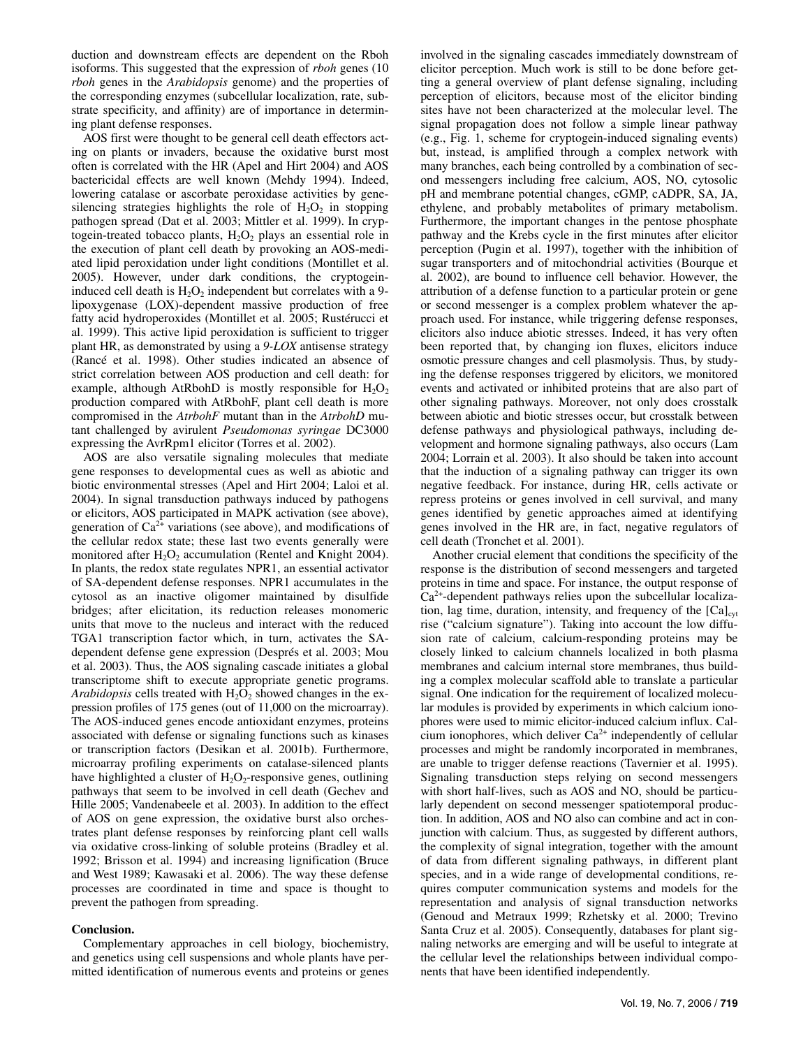duction and downstream effects are dependent on the Rboh isoforms. This suggested that the expression of *rboh* genes (10 *rboh* genes in the *Arabidopsis* genome) and the properties of the corresponding enzymes (subcellular localization, rate, substrate specificity, and affinity) are of importance in determining plant defense responses.

AOS first were thought to be general cell death effectors acting on plants or invaders, because the oxidative burst most often is correlated with the HR (Apel and Hirt 2004) and AOS bactericidal effects are well known (Mehdy 1994). Indeed, lowering catalase or ascorbate peroxidase activities by genesilencing strategies highlights the role of  $H_2O_2$  in stopping pathogen spread (Dat et al. 2003; Mittler et al. 1999). In cryptogein-treated tobacco plants,  $H_2O_2$  plays an essential role in the execution of plant cell death by provoking an AOS-mediated lipid peroxidation under light conditions (Montillet et al. 2005). However, under dark conditions, the cryptogeininduced cell death is  $H_2O_2$  independent but correlates with a 9lipoxygenase (LOX)-dependent massive production of free fatty acid hydroperoxides (Montillet et al. 2005; Rustérucci et al. 1999). This active lipid peroxidation is sufficient to trigger plant HR, as demonstrated by using a *9-LOX* antisense strategy (Rancé et al. 1998). Other studies indicated an absence of strict correlation between AOS production and cell death: for example, although AtRbohD is mostly responsible for  $H_2O_2$ production compared with AtRbohF, plant cell death is more compromised in the *AtrbohF* mutant than in the *AtrbohD* mutant challenged by avirulent *Pseudomonas syringae* DC3000 expressing the AvrRpm1 elicitor (Torres et al. 2002).

AOS are also versatile signaling molecules that mediate gene responses to developmental cues as well as abiotic and biotic environmental stresses (Apel and Hirt 2004; Laloi et al. 2004). In signal transduction pathways induced by pathogens or elicitors, AOS participated in MAPK activation (see above), generation of  $Ca^{2+}$  variations (see above), and modifications of the cellular redox state; these last two events generally were monitored after  $H_2O_2$  accumulation (Rentel and Knight 2004). In plants, the redox state regulates NPR1, an essential activator of SA-dependent defense responses. NPR1 accumulates in the cytosol as an inactive oligomer maintained by disulfide bridges; after elicitation, its reduction releases monomeric units that move to the nucleus and interact with the reduced TGA1 transcription factor which, in turn, activates the SAdependent defense gene expression (Després et al. 2003; Mou et al. 2003). Thus, the AOS signaling cascade initiates a global transcriptome shift to execute appropriate genetic programs. *Arabidopsis* cells treated with  $H_2O_2$  showed changes in the expression profiles of 175 genes (out of 11,000 on the microarray). The AOS-induced genes encode antioxidant enzymes, proteins associated with defense or signaling functions such as kinases or transcription factors (Desikan et al. 2001b). Furthermore, microarray profiling experiments on catalase-silenced plants have highlighted a cluster of  $H_2O_2$ -responsive genes, outlining pathways that seem to be involved in cell death (Gechev and Hille 2005; Vandenabeele et al. 2003). In addition to the effect of AOS on gene expression, the oxidative burst also orchestrates plant defense responses by reinforcing plant cell walls via oxidative cross-linking of soluble proteins (Bradley et al. 1992; Brisson et al. 1994) and increasing lignification (Bruce and West 1989; Kawasaki et al. 2006). The way these defense processes are coordinated in time and space is thought to prevent the pathogen from spreading.

#### **Conclusion.**

Complementary approaches in cell biology, biochemistry, and genetics using cell suspensions and whole plants have permitted identification of numerous events and proteins or genes

involved in the signaling cascades immediately downstream of elicitor perception. Much work is still to be done before getting a general overview of plant defense signaling, including perception of elicitors, because most of the elicitor binding sites have not been characterized at the molecular level. The signal propagation does not follow a simple linear pathway (e.g., Fig. 1, scheme for cryptogein-induced signaling events) but, instead, is amplified through a complex network with many branches, each being controlled by a combination of second messengers including free calcium, AOS, NO, cytosolic pH and membrane potential changes, cGMP, cADPR, SA, JA, ethylene, and probably metabolites of primary metabolism. Furthermore, the important changes in the pentose phosphate pathway and the Krebs cycle in the first minutes after elicitor perception (Pugin et al. 1997), together with the inhibition of sugar transporters and of mitochondrial activities (Bourque et al. 2002), are bound to influence cell behavior. However, the attribution of a defense function to a particular protein or gene or second messenger is a complex problem whatever the approach used. For instance, while triggering defense responses, elicitors also induce abiotic stresses. Indeed, it has very often been reported that, by changing ion fluxes, elicitors induce osmotic pressure changes and cell plasmolysis. Thus, by studying the defense responses triggered by elicitors, we monitored events and activated or inhibited proteins that are also part of other signaling pathways. Moreover, not only does crosstalk between abiotic and biotic stresses occur, but crosstalk between defense pathways and physiological pathways, including development and hormone signaling pathways, also occurs (Lam 2004; Lorrain et al. 2003). It also should be taken into account that the induction of a signaling pathway can trigger its own negative feedback. For instance, during HR, cells activate or repress proteins or genes involved in cell survival, and many genes identified by genetic approaches aimed at identifying genes involved in the HR are, in fact, negative regulators of cell death (Tronchet et al. 2001).

Another crucial element that conditions the specificity of the response is the distribution of second messengers and targeted proteins in time and space. For instance, the output response of  $Ca<sup>2+</sup>$ -dependent pathways relies upon the subcellular localization, lag time, duration, intensity, and frequency of the  $\text{[Ca]}_{\text{cvt}}$ rise ("calcium signature"). Taking into account the low diffusion rate of calcium, calcium-responding proteins may be closely linked to calcium channels localized in both plasma membranes and calcium internal store membranes, thus building a complex molecular scaffold able to translate a particular signal. One indication for the requirement of localized molecular modules is provided by experiments in which calcium ionophores were used to mimic elicitor-induced calcium influx. Calcium ionophores, which deliver  $Ca^{2+}$  independently of cellular processes and might be randomly incorporated in membranes, are unable to trigger defense reactions (Tavernier et al. 1995). Signaling transduction steps relying on second messengers with short half-lives, such as AOS and NO, should be particularly dependent on second messenger spatiotemporal production. In addition, AOS and NO also can combine and act in conjunction with calcium. Thus, as suggested by different authors, the complexity of signal integration, together with the amount of data from different signaling pathways, in different plant species, and in a wide range of developmental conditions, requires computer communication systems and models for the representation and analysis of signal transduction networks (Genoud and Metraux 1999; Rzhetsky et al. 2000; Trevino Santa Cruz et al. 2005). Consequently, databases for plant signaling networks are emerging and will be useful to integrate at the cellular level the relationships between individual components that have been identified independently.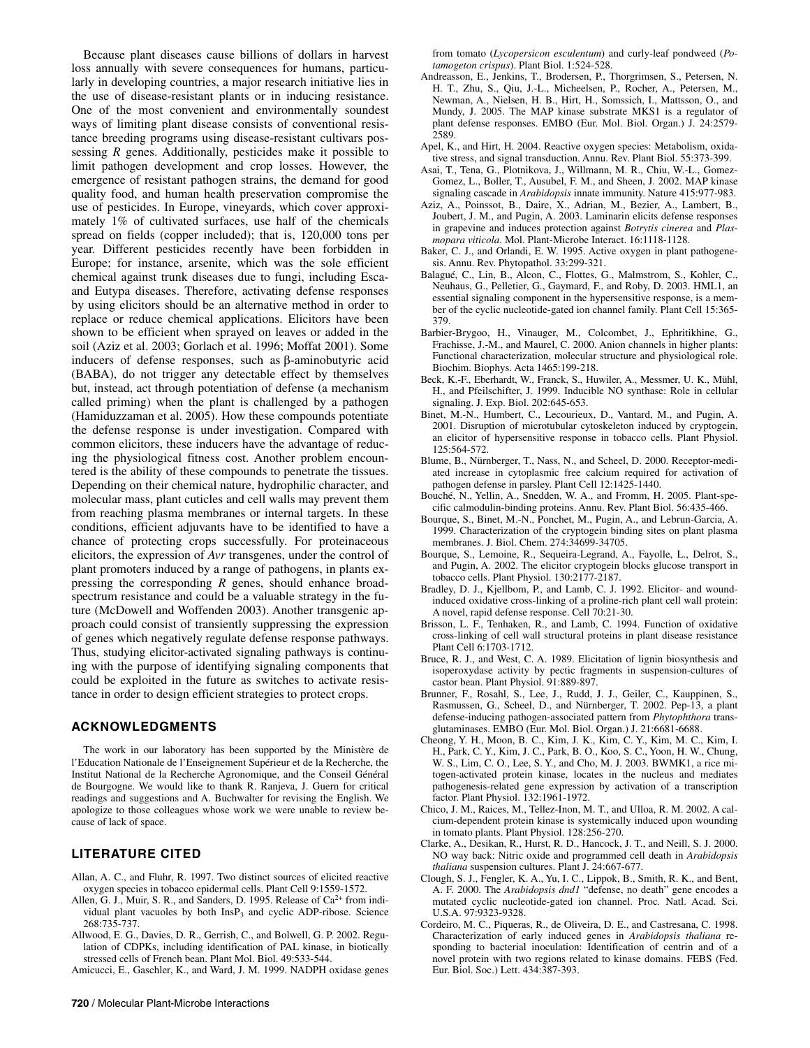Because plant diseases cause billions of dollars in harvest loss annually with severe consequences for humans, particularly in developing countries, a major research initiative lies in the use of disease-resistant plants or in inducing resistance. One of the most convenient and environmentally soundest ways of limiting plant disease consists of conventional resistance breeding programs using disease-resistant cultivars possessing *R* genes. Additionally, pesticides make it possible to limit pathogen development and crop losses. However, the emergence of resistant pathogen strains, the demand for good quality food, and human health preservation compromise the use of pesticides. In Europe, vineyards, which cover approximately 1% of cultivated surfaces, use half of the chemicals spread on fields (copper included); that is, 120,000 tons per year. Different pesticides recently have been forbidden in Europe; for instance, arsenite, which was the sole efficient chemical against trunk diseases due to fungi, including Escaand Eutypa diseases. Therefore, activating defense responses by using elicitors should be an alternative method in order to replace or reduce chemical applications. Elicitors have been shown to be efficient when sprayed on leaves or added in the soil (Aziz et al. 2003; Gorlach et al. 1996; Moffat 2001). Some inducers of defense responses, such as β-aminobutyric acid (BABA), do not trigger any detectable effect by themselves but, instead, act through potentiation of defense (a mechanism called priming) when the plant is challenged by a pathogen (Hamiduzzaman et al. 2005). How these compounds potentiate the defense response is under investigation. Compared with common elicitors, these inducers have the advantage of reducing the physiological fitness cost. Another problem encountered is the ability of these compounds to penetrate the tissues. Depending on their chemical nature, hydrophilic character, and molecular mass, plant cuticles and cell walls may prevent them from reaching plasma membranes or internal targets. In these conditions, efficient adjuvants have to be identified to have a chance of protecting crops successfully. For proteinaceous elicitors, the expression of *Avr* transgenes, under the control of plant promoters induced by a range of pathogens, in plants expressing the corresponding *R* genes, should enhance broadspectrum resistance and could be a valuable strategy in the future (McDowell and Woffenden 2003). Another transgenic approach could consist of transiently suppressing the expression of genes which negatively regulate defense response pathways. Thus, studying elicitor-activated signaling pathways is continuing with the purpose of identifying signaling components that could be exploited in the future as switches to activate resistance in order to design efficient strategies to protect crops.

# **ACKNOWLEDGMENTS**

The work in our laboratory has been supported by the Ministère de l'Education Nationale de l'Enseignement Supérieur et de la Recherche, the Institut National de la Recherche Agronomique, and the Conseil Général de Bourgogne. We would like to thank R. Ranjeva, J. Guern for critical readings and suggestions and A. Buchwalter for revising the English. We apologize to those colleagues whose work we were unable to review because of lack of space.

# **LITERATURE CITED**

- Allan, A. C., and Fluhr, R. 1997. Two distinct sources of elicited reactive oxygen species in tobacco epidermal cells. Plant Cell 9:1559-1572.
- Allen, G. J., Muir, S. R., and Sanders, D. 1995. Release of Ca<sup>2+</sup> from individual plant vacuoles by both  $InsP<sub>3</sub>$  and cyclic ADP-ribose. Science 268:735-737.
- Allwood, E. G., Davies, D. R., Gerrish, C., and Bolwell, G. P. 2002. Regulation of CDPKs, including identification of PAL kinase, in biotically stressed cells of French bean. Plant Mol. Biol. 49:533-544.
- Amicucci, E., Gaschler, K., and Ward, J. M. 1999. NADPH oxidase genes

from tomato (*Lycopersicon esculentum*) and curly-leaf pondweed (*Potamogeton crispus*). Plant Biol. 1:524-528.

- Andreasson, E., Jenkins, T., Brodersen, P., Thorgrimsen, S., Petersen, N. H. T., Zhu, S., Qiu, J.-L., Micheelsen, P., Rocher, A., Petersen, M., Newman, A., Nielsen, H. B., Hirt, H., Somssich, I., Mattsson, O., and Mundy, J. 2005. The MAP kinase substrate MKS1 is a regulator of plant defense responses. EMBO (Eur. Mol. Biol. Organ.) J. 24:2579- 2589.
- Apel, K., and Hirt, H. 2004. Reactive oxygen species: Metabolism, oxidative stress, and signal transduction. Annu. Rev. Plant Biol. 55:373-399.
- Asai, T., Tena, G., Plotnikova, J., Willmann, M. R., Chiu, W.-L., Gomez-Gomez, L., Boller, T., Ausubel, F. M., and Sheen, J. 2002. MAP kinase signaling cascade in *Arabidopsis* innate immunity. Nature 415:977-983.
- Aziz, A., Poinssot, B., Daire, X., Adrian, M., Bezier, A., Lambert, B., Joubert, J. M., and Pugin, A. 2003. Laminarin elicits defense responses in grapevine and induces protection against *Botrytis cinerea* and *Plasmopara viticola*. Mol. Plant-Microbe Interact. 16:1118-1128.
- Baker, C. J., and Orlandi, E. W. 1995. Active oxygen in plant pathogenesis. Annu. Rev. Phytopathol. 33:299-321.
- Balagué, C., Lin, B., Alcon, C., Flottes, G., Malmstrom, S., Kohler, C., Neuhaus, G., Pelletier, G., Gaymard, F., and Roby, D. 2003. HML1, an essential signaling component in the hypersensitive response, is a member of the cyclic nucleotide-gated ion channel family. Plant Cell 15:365- 379.
- Barbier-Brygoo, H., Vinauger, M., Colcombet, J., Ephritikhine, G., Frachisse, J.-M., and Maurel, C. 2000. Anion channels in higher plants: Functional characterization, molecular structure and physiological role. Biochim. Biophys. Acta 1465:199-218.
- Beck, K.-F., Eberhardt, W., Franck, S., Huwiler, A., Messmer, U. K., Mühl, H., and Pfeilschifter, J. 1999. Inducible NO synthase: Role in cellular signaling. J. Exp. Biol. 202:645-653.
- Binet, M.-N., Humbert, C., Lecourieux, D., Vantard, M., and Pugin, A. 2001. Disruption of microtubular cytoskeleton induced by cryptogein, an elicitor of hypersensitive response in tobacco cells. Plant Physiol. 125:564-572.
- Blume, B., Nürnberger, T., Nass, N., and Scheel, D. 2000. Receptor-mediated increase in cytoplasmic free calcium required for activation of pathogen defense in parsley. Plant Cell 12:1425-1440.
- Bouché, N., Yellin, A., Snedden, W. A., and Fromm, H. 2005. Plant-specific calmodulin-binding proteins. Annu. Rev. Plant Biol. 56:435-466.
- Bourque, S., Binet, M.-N., Ponchet, M., Pugin, A., and Lebrun-Garcia, A. 1999. Characterization of the cryptogein binding sites on plant plasma membranes. J. Biol. Chem. 274:34699-34705.
- Bourque, S., Lemoine, R., Sequeira-Legrand, A., Fayolle, L., Delrot, S., and Pugin, A. 2002. The elicitor cryptogein blocks glucose transport in tobacco cells. Plant Physiol. 130:2177-2187.
- Bradley, D. J., Kjellbom, P., and Lamb, C. J. 1992. Elicitor- and woundinduced oxidative cross-linking of a proline-rich plant cell wall protein: A novel, rapid defense response. Cell 70:21-30.
- Brisson, L. F., Tenhaken, R., and Lamb, C. 1994. Function of oxidative cross-linking of cell wall structural proteins in plant disease resistance Plant Cell 6:1703-1712.
- Bruce, R. J., and West, C. A. 1989. Elicitation of lignin biosynthesis and isoperoxydase activity by pectic fragments in suspension-cultures of castor bean. Plant Physiol. 91:889-897.
- Brunner, F., Rosahl, S., Lee, J., Rudd, J. J., Geiler, C., Kauppinen, S., Rasmussen, G., Scheel, D., and Nürnberger, T. 2002. Pep-13, a plant defense-inducing pathogen-associated pattern from *Phytophthora* transglutaminases. EMBO (Eur. Mol. Biol. Organ.) J. 21:6681-6688.
- Cheong, Y. H., Moon, B. C., Kim, J. K., Kim, C. Y., Kim, M. C., Kim, I. H., Park, C. Y., Kim, J. C., Park, B. O., Koo, S. C., Yoon, H. W., Chung, W. S., Lim, C. O., Lee, S. Y., and Cho, M. J. 2003. BWMK1, a rice mitogen-activated protein kinase, locates in the nucleus and mediates pathogenesis-related gene expression by activation of a transcription factor. Plant Physiol. 132:1961-1972.
- Chico, J. M., Raices, M., Tellez-Inon, M. T., and Ulloa, R. M. 2002. A calcium-dependent protein kinase is systemically induced upon wounding in tomato plants. Plant Physiol. 128:256-270.
- Clarke, A., Desikan, R., Hurst, R. D., Hancock, J. T., and Neill, S. J. 2000. NO way back: Nitric oxide and programmed cell death in *Arabidopsis thaliana* suspension cultures. Plant J. 24:667-677.
- Clough, S. J., Fengler, K. A., Yu, I. C., Lippok, B., Smith, R. K., and Bent, A. F. 2000. The *Arabidopsis dnd1* "defense, no death" gene encodes a mutated cyclic nucleotide-gated ion channel. Proc. Natl. Acad. Sci. U.S.A. 97:9323-9328.
- Cordeiro, M. C., Piqueras, R., de Oliveira, D. E., and Castresana, C. 1998. Characterization of early induced genes in *Arabidopsis thaliana* responding to bacterial inoculation: Identification of centrin and of a novel protein with two regions related to kinase domains. FEBS (Fed. Eur. Biol. Soc.) Lett. 434:387-393.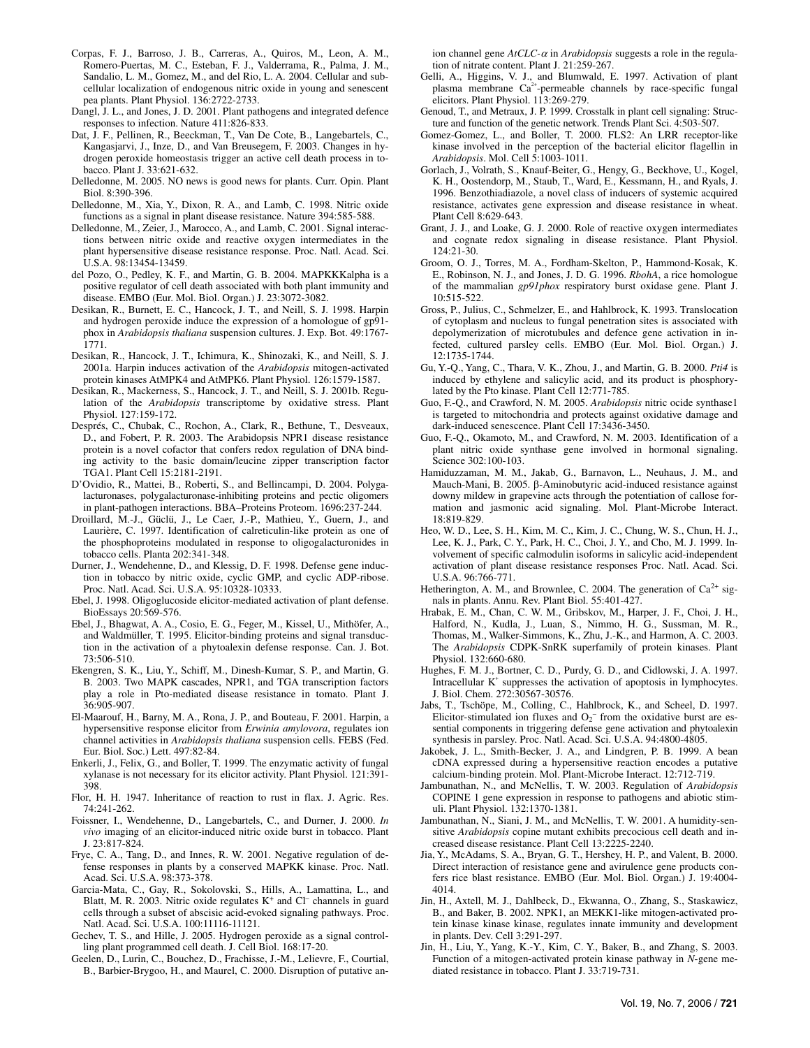- Corpas, F. J., Barroso, J. B., Carreras, A., Quiros, M., Leon, A. M., Romero-Puertas, M. C., Esteban, F. J., Valderrama, R., Palma, J. M., Sandalio, L. M., Gomez, M., and del Rio, L. A. 2004. Cellular and subcellular localization of endogenous nitric oxide in young and senescent pea plants. Plant Physiol. 136:2722-2733.
- Dangl, J. L., and Jones, J. D. 2001. Plant pathogens and integrated defence responses to infection. Nature 411:826-833.
- Dat, J. F., Pellinen, R., Beeckman, T., Van De Cote, B., Langebartels, C., Kangasjarvi, J., Inze, D., and Van Breusegem, F. 2003. Changes in hydrogen peroxide homeostasis trigger an active cell death process in tobacco. Plant J. 33:621-632.
- Delledonne, M. 2005. NO news is good news for plants. Curr. Opin. Plant Biol. 8:390-396.
- Delledonne, M., Xia, Y., Dixon, R. A., and Lamb, C. 1998. Nitric oxide functions as a signal in plant disease resistance. Nature 394:585-588.
- Delledonne, M., Zeier, J., Marocco, A., and Lamb, C. 2001. Signal interactions between nitric oxide and reactive oxygen intermediates in the plant hypersensitive disease resistance response. Proc. Natl. Acad. Sci. U.S.A. 98:13454-13459.
- del Pozo, O., Pedley, K. F., and Martin, G. B. 2004. MAPKKKalpha is a positive regulator of cell death associated with both plant immunity and disease. EMBO (Eur. Mol. Biol. Organ.) J. 23:3072-3082.
- Desikan, R., Burnett, E. C., Hancock, J. T., and Neill, S. J. 1998. Harpin and hydrogen peroxide induce the expression of a homologue of gp91 phox in *Arabidopsis thaliana* suspension cultures. J. Exp. Bot. 49:1767- 1771.
- Desikan, R., Hancock, J. T., Ichimura, K., Shinozaki, K., and Neill, S. J. 2001a. Harpin induces activation of the *Arabidopsis* mitogen-activated protein kinases AtMPK4 and AtMPK6. Plant Physiol. 126:1579-1587.
- Desikan, R., Mackerness, S., Hancock, J. T., and Neill, S. J. 2001b. Regulation of the *Arabidopsis* transcriptome by oxidative stress. Plant Physiol. 127:159-172.
- Després, C., Chubak, C., Rochon, A., Clark, R., Bethune, T., Desveaux, D., and Fobert, P. R. 2003. The Arabidopsis NPR1 disease resistance protein is a novel cofactor that confers redox regulation of DNA binding activity to the basic domain/leucine zipper transcription factor TGA1. Plant Cell 15:2181-2191.
- D'Ovidio, R., Mattei, B., Roberti, S., and Bellincampi, D. 2004. Polygalacturonases, polygalacturonase-inhibiting proteins and pectic oligomers in plant-pathogen interactions. BBA–Proteins Proteom. 1696:237-244.
- Droillard, M.-J., Güclü, J., Le Caer, J.-P., Mathieu, Y., Guern, J., and Laurière, C. 1997. Identification of calreticulin-like protein as one of the phosphoproteins modulated in response to oligogalacturonides in tobacco cells. Planta 202:341-348.
- Durner, J., Wendehenne, D., and Klessig, D. F. 1998. Defense gene induction in tobacco by nitric oxide, cyclic GMP, and cyclic ADP-ribose. Proc. Natl. Acad. Sci. U.S.A. 95:10328-10333.
- Ebel, J. 1998. Oligoglucoside elicitor-mediated activation of plant defense. BioEssays 20:569-576.
- Ebel, J., Bhagwat, A. A., Cosio, E. G., Feger, M., Kissel, U., Mithöfer, A., and Waldmüller, T. 1995. Elicitor-binding proteins and signal transduction in the activation of a phytoalexin defense response. Can. J. Bot. 73:506-510.
- Ekengren, S. K., Liu, Y., Schiff, M., Dinesh-Kumar, S. P., and Martin, G. B. 2003. Two MAPK cascades, NPR1, and TGA transcription factors play a role in Pto-mediated disease resistance in tomato. Plant J. 36:905-907.
- El-Maarouf, H., Barny, M. A., Rona, J. P., and Bouteau, F. 2001. Harpin, a hypersensitive response elicitor from *Erwinia amylovora*, regulates ion channel activities in *Arabidopsis thaliana* suspension cells. FEBS (Fed. Eur. Biol. Soc.) Lett. 497:82-84.
- Enkerli, J., Felix, G., and Boller, T. 1999. The enzymatic activity of fungal xylanase is not necessary for its elicitor activity. Plant Physiol. 121:391- 398.
- Flor, H. H. 1947. Inheritance of reaction to rust in flax. J. Agric. Res. 74:241-262.
- Foissner, I., Wendehenne, D., Langebartels, C., and Durner, J. 2000. *In vivo* imaging of an elicitor-induced nitric oxide burst in tobacco. Plant J. 23:817-824.
- Frye, C. A., Tang, D., and Innes, R. W. 2001. Negative regulation of defense responses in plants by a conserved MAPKK kinase. Proc. Natl. Acad. Sci. U.S.A. 98:373-378.
- Garcia-Mata, C., Gay, R., Sokolovski, S., Hills, A., Lamattina, L., and Blatt, M. R. 2003. Nitric oxide regulates  $K^+$  and  $Cl^-$  channels in guard cells through a subset of abscisic acid-evoked signaling pathways. Proc. Natl. Acad. Sci. U.S.A. 100:11116-11121.
- Gechev, T. S., and Hille, J. 2005. Hydrogen peroxide as a signal controlling plant programmed cell death. J. Cell Biol. 168:17-20.
- Geelen, D., Lurin, C., Bouchez, D., Frachisse, J.-M., Lelievre, F., Courtial, B., Barbier-Brygoo, H., and Maurel, C. 2000. Disruption of putative an-

ion channel gene *AtCLC-*α in *Arabidopsis* suggests a role in the regulation of nitrate content. Plant J. 21:259-267.

- Gelli, A., Higgins, V. J., and Blumwald, E. 1997. Activation of plant plasma membrane  $Ca^{2+}$ -permeable channels by race-specific fungal elicitors. Plant Physiol. 113:269-279.
- Genoud, T., and Metraux, J. P. 1999. Crosstalk in plant cell signaling: Structure and function of the genetic network. Trends Plant Sci. 4:503-507.
- Gomez-Gomez, L., and Boller, T. 2000. FLS2: An LRR receptor-like kinase involved in the perception of the bacterial elicitor flagellin in *Arabidopsis*. Mol. Cell 5:1003-1011.
- Gorlach, J., Volrath, S., Knauf-Beiter, G., Hengy, G., Beckhove, U., Kogel, K. H., Oostendorp, M., Staub, T., Ward, E., Kessmann, H., and Ryals, J. 1996. Benzothiadiazole, a novel class of inducers of systemic acquired resistance, activates gene expression and disease resistance in wheat. Plant Cell 8:629-643.
- Grant, J. J., and Loake, G. J. 2000. Role of reactive oxygen intermediates and cognate redox signaling in disease resistance. Plant Physiol. 124:21-30.
- Groom, O. J., Torres, M. A., Fordham-Skelton, P., Hammond-Kosak, K. E., Robinson, N. J., and Jones, J. D. G. 1996. *RbohA*, a rice homologue of the mammalian *gp91phox* respiratory burst oxidase gene. Plant J. 10:515-522.
- Gross, P., Julius, C., Schmelzer, E., and Hahlbrock, K. 1993. Translocation of cytoplasm and nucleus to fungal penetration sites is associated with depolymerization of microtubules and defence gene activation in infected, cultured parsley cells. EMBO (Eur. Mol. Biol. Organ.) J. 12:1735-1744.
- Gu, Y.-Q., Yang, C., Thara, V. K., Zhou, J., and Martin, G. B. 2000. *Pti4* is induced by ethylene and salicylic acid, and its product is phosphorylated by the Pto kinase. Plant Cell 12:771-785.
- Guo, F.-Q., and Crawford, N. M. 2005. *Arabidopsis* nitric ocide synthase1 is targeted to mitochondria and protects against oxidative damage and dark-induced senescence. Plant Cell 17:3436-3450.
- Guo, F.-Q., Okamoto, M., and Crawford, N. M. 2003. Identification of a plant nitric oxide synthase gene involved in hormonal signaling. Science 302:100-103.
- Hamiduzzaman, M. M., Jakab, G., Barnavon, L., Neuhaus, J. M., and Mauch-Mani, B. 2005. β-Aminobutyric acid-induced resistance against downy mildew in grapevine acts through the potentiation of callose formation and jasmonic acid signaling. Mol. Plant-Microbe Interact. 18:819-829.
- Heo, W. D., Lee, S. H., Kim, M. C., Kim, J. C., Chung, W. S., Chun, H. J., Lee, K. J., Park, C. Y., Park, H. C., Choi, J. Y., and Cho, M. J. 1999. Involvement of specific calmodulin isoforms in salicylic acid-independent activation of plant disease resistance responses Proc. Natl. Acad. Sci. U.S.A. 96:766-771.
- Hetherington, A. M., and Brownlee, C. 2004. The generation of  $Ca^{2+}$  signals in plants. Annu. Rev. Plant Biol. 55:401-427.
- Hrabak, E. M., Chan, C. W. M., Gribskov, M., Harper, J. F., Choi, J. H., Halford, N., Kudla, J., Luan, S., Nimmo, H. G., Sussman, M. R., Thomas, M., Walker-Simmons, K., Zhu, J.-K., and Harmon, A. C. 2003. The *Arabidopsis* CDPK-SnRK superfamily of protein kinases. Plant Physiol. 132:660-680.
- Hughes, F. M. J., Bortner, C. D., Purdy, G. D., and Cidlowski, J. A. 1997. Intracellular K<sup>+</sup> suppresses the activation of apoptosis in lymphocytes. J. Biol. Chem. 272:30567-30576.
- Jabs, T., Tschöpe, M., Colling, C., Hahlbrock, K., and Scheel, D. 1997. Elicitor-stimulated ion fluxes and  $O_2$ <sup>-</sup> from the oxidative burst are essential components in triggering defense gene activation and phytoalexin synthesis in parsley. Proc. Natl. Acad. Sci. U.S.A. 94:4800-4805.
- Jakobek, J. L., Smith-Becker, J. A., and Lindgren, P. B. 1999. A bean cDNA expressed during a hypersensitive reaction encodes a putative calcium-binding protein. Mol. Plant-Microbe Interact. 12:712-719.
- Jambunathan, N., and McNellis, T. W. 2003. Regulation of *Arabidopsis* COPINE 1 gene expression in response to pathogens and abiotic stimuli. Plant Physiol. 132:1370-1381.
- Jambunathan, N., Siani, J. M., and McNellis, T. W. 2001. A humidity-sensitive *Arabidopsis* copine mutant exhibits precocious cell death and increased disease resistance. Plant Cell 13:2225-2240.
- Jia, Y., McAdams, S. A., Bryan, G. T., Hershey, H. P., and Valent, B. 2000. Direct interaction of resistance gene and avirulence gene products confers rice blast resistance. EMBO (Eur. Mol. Biol. Organ.) J. 19:4004- 4014.
- Jin, H., Axtell, M. J., Dahlbeck, D., Ekwanna, O., Zhang, S., Staskawicz, B., and Baker, B. 2002. NPK1, an MEKK1-like mitogen-activated protein kinase kinase kinase, regulates innate immunity and development in plants. Dev. Cell 3:291-297.
- Jin, H., Liu, Y., Yang, K.-Y., Kim, C. Y., Baker, B., and Zhang, S. 2003. Function of a mitogen-activated protein kinase pathway in *N*-gene mediated resistance in tobacco. Plant J. 33:719-731.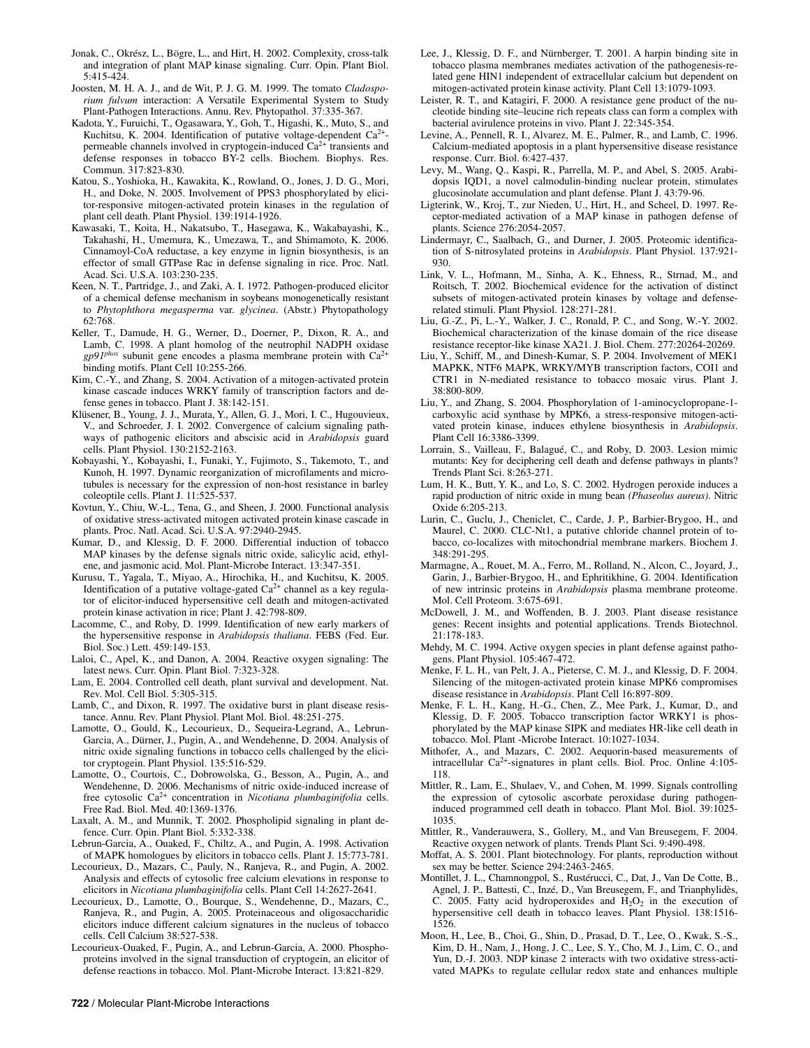- Jonak, C., Okrész, L., Bögre, L., and Hirt, H. 2002. Complexity, cross-talk and integration of plant MAP kinase signaling. Curr. Opin. Plant Biol. 5:415-424.
- Joosten, M. H. A. J., and de Wit, P. J. G. M. 1999. The tomato *Cladosporium fulvum* interaction: A Versatile Experimental System to Study Plant-Pathogen Interactions. Annu. Rev. Phytopathol. 37:335-367.
- Kadota, Y., Furuichi, T., Ogasawara, Y., Goh, T., Higashi, K., Muto, S., and Kuchitsu, K. 2004. Identification of putative voltage-dependent  $Ca^{2+}$ permeable channels involved in cryptogein-induced  $Ca^{2+}$  transients and defense responses in tobacco BY-2 cells. Biochem. Biophys. Res. Commun. 317:823-830.
- Katou, S., Yoshioka, H., Kawakita, K., Rowland, O., Jones, J. D. G., Mori, H., and Doke, N. 2005. Involvement of PPS3 phosphorylated by elicitor-responsive mitogen-activated protein kinases in the regulation of plant cell death. Plant Physiol. 139:1914-1926.
- Kawasaki, T., Koita, H., Nakatsubo, T., Hasegawa, K., Wakabayashi, K., Takahashi, H., Umemura, K., Umezawa, T., and Shimamoto, K. 2006. Cinnamoyl-CoA reductase, a key enzyme in lignin biosynthesis, is an effector of small GTPase Rac in defense signaling in rice. Proc. Natl. Acad. Sci. U.S.A. 103:230-235.
- Keen, N. T., Partridge, J., and Zaki, A. I. 1972. Pathogen-produced elicitor of a chemical defense mechanism in soybeans monogenetically resistant to *Phytophthora megasperma* var. *glycinea*. (Abstr.) Phytopathology 62:768.
- Keller, T., Damude, H. G., Werner, D., Doerner, P., Dixon, R. A., and Lamb, C. 1998. A plant homolog of the neutrophil NADPH oxidase *gp91<sup>phox</sup>* subunit gene encodes a plasma membrane protein with Ca<sup>2+</sup> binding motifs. Plant Cell 10:255-266.
- Kim, C.-Y., and Zhang, S. 2004. Activation of a mitogen-activated protein kinase cascade induces WRKY family of transcription factors and defense genes in tobacco. Plant J. 38:142-151.
- Klüsener, B., Young, J. J., Murata, Y., Allen, G. J., Mori, I. C., Hugouvieux, V., and Schroeder, J. I. 2002. Convergence of calcium signaling pathways of pathogenic elicitors and abscisic acid in *Arabidopsis* guard cells. Plant Physiol. 130:2152-2163.
- Kobayashi, Y., Kobayashi, I., Funaki, Y., Fujimoto, S., Takemoto, T., and Kunoh, H. 1997. Dynamic reorganization of microfilaments and microtubules is necessary for the expression of non-host resistance in barley coleoptile cells. Plant J. 11:525-537.
- Kovtun, Y., Chiu, W.-L., Tena, G., and Sheen, J. 2000. Functional analysis of oxidative stress-activated mitogen activated protein kinase cascade in plants. Proc. Natl. Acad. Sci. U.S.A. 97:2940-2945.
- Kumar, D., and Klessig, D. F. 2000. Differential induction of tobacco MAP kinases by the defense signals nitric oxide, salicylic acid, ethylene, and jasmonic acid. Mol. Plant-Microbe Interact. 13:347-351.
- Kurusu, T., Yagala, T., Miyao, A., Hirochika, H., and Kuchitsu, K. 2005. Identification of a putative voltage-gated  $Ca^{2+}$  channel as a key regulator of elicitor-induced hypersensitive cell death and mitogen-activated protein kinase activation in rice; Plant J. 42:798-809.
- Lacomme, C., and Roby, D. 1999. Identification of new early markers of the hypersensitive response in *Arabidopsis thaliana*. FEBS (Fed. Eur. Biol. Soc.) Lett. 459:149-153.
- Laloi, C., Apel, K., and Danon, A. 2004. Reactive oxygen signaling: The latest news. Curr. Opin. Plant Biol. 7:323-328.
- Lam, E. 2004. Controlled cell death, plant survival and development. Nat. Rev. Mol. Cell Biol. 5:305-315.
- Lamb, C., and Dixon, R. 1997. The oxidative burst in plant disease resistance. Annu. Rev. Plant Physiol. Plant Mol. Biol. 48:251-275.
- Lamotte, O., Gould, K., Lecourieux, D., Sequeira-Legrand, A., Lebrun-Garcia, A., Dürner, J., Pugin, A., and Wendehenne, D. 2004. Analysis of nitric oxide signaling functions in tobacco cells challenged by the elicitor cryptogein. Plant Physiol. 135:516-529.
- Lamotte, O., Courtois, C., Dobrowolska, G., Besson, A., Pugin, A., and Wendehenne, D. 2006. Mechanisms of nitric oxide-induced increase of free cytosolic Ca2+ concentration in *Nicotiana plumbaginifolia* cells. Free Rad. Biol. Med. 40:1369-1376.
- Laxalt, A. M., and Munnik, T. 2002. Phospholipid signaling in plant defence. Curr. Opin. Plant Biol. 5:332-338.
- Lebrun-Garcia, A., Ouaked, F., Chiltz, A., and Pugin, A. 1998. Activation of MAPK homologues by elicitors in tobacco cells. Plant J. 15:773-781.
- Lecourieux, D., Mazars, C., Pauly, N., Ranjeva, R., and Pugin, A. 2002. Analysis and effects of cytosolic free calcium elevations in response to elicitors in *Nicotiana plumbaginifolia* cells. Plant Cell 14:2627-2641.
- Lecourieux, D., Lamotte, O., Bourque, S., Wendehenne, D., Mazars, C., Ranjeva, R., and Pugin, A. 2005. Proteinaceous and oligosaccharidic elicitors induce different calcium signatures in the nucleus of tobacco cells. Cell Calcium 38:527-538.
- Lecourieux-Ouaked, F., Pugin, A., and Lebrun-Garcia, A. 2000. Phosphoproteins involved in the signal transduction of cryptogein, an elicitor of defense reactions in tobacco. Mol. Plant-Microbe Interact. 13:821-829.
- Lee, J., Klessig, D. F., and Nürnberger, T. 2001. A harpin binding site in tobacco plasma membranes mediates activation of the pathogenesis-related gene HIN1 independent of extracellular calcium but dependent on mitogen-activated protein kinase activity. Plant Cell 13:1079-1093.
- Leister, R. T., and Katagiri, F. 2000. A resistance gene product of the nucleotide binding site–leucine rich repeats class can form a complex with bacterial avirulence proteins in vivo. Plant J. 22:345-354.
- Levine, A., Pennell, R. I., Alvarez, M. E., Palmer, R., and Lamb, C. 1996. Calcium-mediated apoptosis in a plant hypersensitive disease resistance response. Curr. Biol. 6:427-437.
- Levy, M., Wang, Q., Kaspi, R., Parrella, M. P., and Abel, S. 2005. Arabidopsis IQD1, a novel calmodulin-binding nuclear protein, stimulates glucosinolate accumulation and plant defense. Plant J. 43:79-96.
- Ligterink, W., Kroj, T., zur Nieden, U., Hirt, H., and Scheel, D. 1997. Receptor-mediated activation of a MAP kinase in pathogen defense of plants. Science 276:2054-2057.
- Lindermayr, C., Saalbach, G., and Durner, J. 2005. Proteomic identification of S-nitrosylated proteins in *Arabidopsis*. Plant Physiol. 137:921- 930.
- Link, V. L., Hofmann, M., Sinha, A. K., Ehness, R., Strnad, M., and Roitsch, T. 2002. Biochemical evidence for the activation of distinct subsets of mitogen-activated protein kinases by voltage and defenserelated stimuli. Plant Physiol. 128:271-281.
- Liu, G.-Z., Pi, L.-Y., Walker, J. C., Ronald, P. C., and Song, W.-Y. 2002. Biochemical characterization of the kinase domain of the rice disease resistance receptor-like kinase XA21. J. Biol. Chem. 277:20264-20269.
- Liu, Y., Schiff, M., and Dinesh-Kumar, S. P. 2004. Involvement of MEK1 MAPKK, NTF6 MAPK, WRKY/MYB transcription factors, COI1 and CTR1 in N-mediated resistance to tobacco mosaic virus. Plant J. 38:800-809.
- Liu, Y., and Zhang, S. 2004. Phosphorylation of 1-aminocyclopropane-1 carboxylic acid synthase by MPK6, a stress-responsive mitogen-activated protein kinase, induces ethylene biosynthesis in *Arabidopsis*. Plant Cell 16:3386-3399.
- Lorrain, S., Vailleau, F., Balagué, C., and Roby, D. 2003. Lesion mimic mutants: Key for deciphering cell death and defense pathways in plants? Trends Plant Sci. 8:263-271.
- Lum, H. K., Butt, Y. K., and Lo, S. C. 2002. Hydrogen peroxide induces a rapid production of nitric oxide in mung bean *(Phaseolus aureus)*. Nitric Oxide 6:205-213.
- Lurin, C., Guclu, J., Cheniclet, C., Carde, J. P., Barbier-Brygoo, H., and Maurel, C. 2000. CLC-Nt1, a putative chloride channel protein of tobacco, co-localizes with mitochondrial membrane markers. Biochem J. 348:291-295.
- Marmagne, A., Rouet, M. A., Ferro, M., Rolland, N., Alcon, C., Joyard, J., Garin, J., Barbier-Brygoo, H., and Ephritikhine, G. 2004. Identification of new intrinsic proteins in *Arabidopsis* plasma membrane proteome. Mol. Cell Proteom. 3:675-691.
- McDowell, J. M., and Woffenden, B. J. 2003. Plant disease resistance genes: Recent insights and potential applications. Trends Biotechnol. 21:178-183.
- Mehdy, M. C. 1994. Active oxygen species in plant defense against pathogens. Plant Physiol. 105:467-472.
- Menke, F. L. H., van Pelt, J. A., Pieterse, C. M. J., and Klessig, D. F. 2004. Silencing of the mitogen-activated protein kinase MPK6 compromises disease resistance in *Arabidopsis*. Plant Cell 16:897-809.
- Menke, F. L. H., Kang, H.-G., Chen, Z., Mee Park, J., Kumar, D., and Klessig, D. F. 2005. Tobacco transcription factor WRKY1 is phosphorylated by the MAP kinase SIPK and mediates HR-like cell death in tobacco. Mol. Plant -Microbe Interact. 10:1027-1034.
- Mithofer, A., and Mazars, C. 2002. Aequorin-based measurements of intracellular  $Ca^{2+}$ -signatures in plant cells. Biol. Proc. Online 4:105-118.
- Mittler, R., Lam, E., Shulaev, V., and Cohen, M. 1999. Signals controlling the expression of cytosolic ascorbate peroxidase during pathogeninduced programmed cell death in tobacco. Plant Mol. Biol. 39:1025- 1035.
- Mittler, R., Vanderauwera, S., Gollery, M., and Van Breusegem, F. 2004. Reactive oxygen network of plants. Trends Plant Sci. 9:490-498.
- Moffat, A. S. 2001. Plant biotechnology. For plants, reproduction without sex may be better. Science 294:2463-2465.
- Montillet, J. L., Chamnongpol, S., Rustérucci, C., Dat, J., Van De Cotte, B., Agnel, J. P., Battesti, C., Inzé, D., Van Breusegem, F., and Trianphylidès, C. 2005. Fatty acid hydroperoxides and  $H_2O_2$  in the execution of hypersensitive cell death in tobacco leaves. Plant Physiol. 138:1516- 1526.
- Moon, H., Lee, B., Choi, G., Shin, D., Prasad, D. T., Lee, O., Kwak, S.-S., Kim, D. H., Nam, J., Hong, J. C., Lee, S. Y., Cho, M. J., Lim, C. O., and Yun, D.-J. 2003. NDP kinase 2 interacts with two oxidative stress-activated MAPKs to regulate cellular redox state and enhances multiple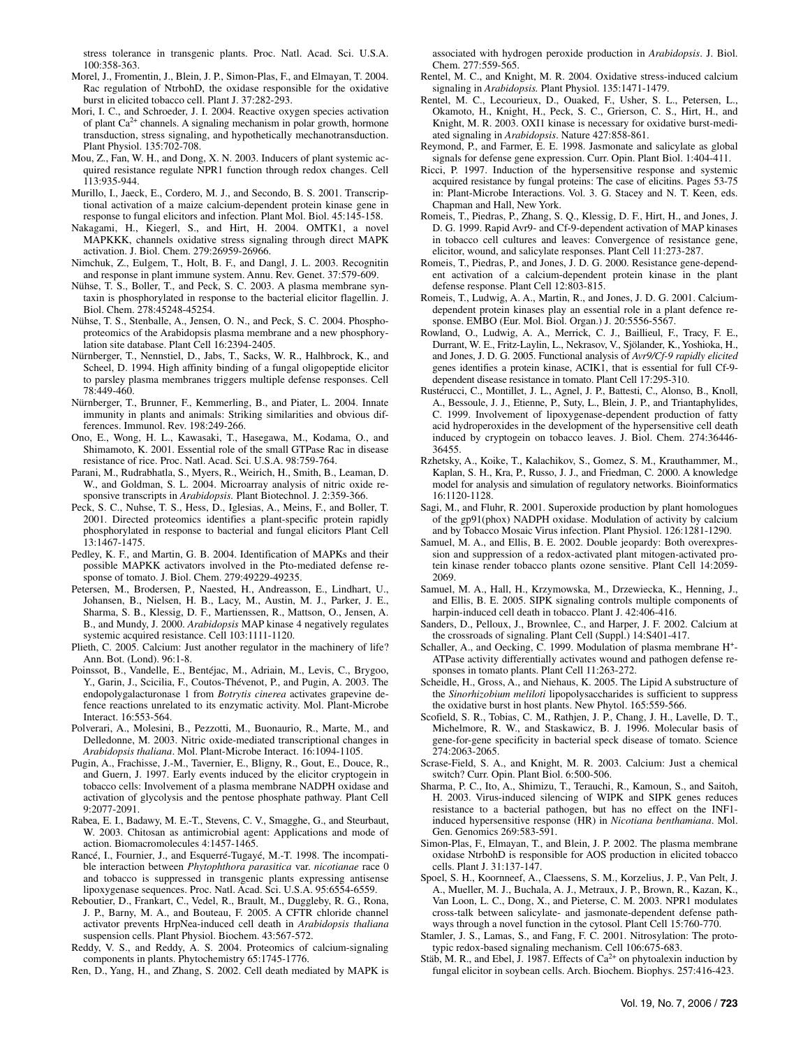stress tolerance in transgenic plants. Proc. Natl. Acad. Sci. U.S.A. 100:358-363.

- Morel, J., Fromentin, J., Blein, J. P., Simon-Plas, F., and Elmayan, T. 2004. Rac regulation of NtrbohD, the oxidase responsible for the oxidative burst in elicited tobacco cell. Plant J. 37:282-293.
- Mori, I. C., and Schroeder, J. I. 2004. Reactive oxygen species activation of plant  $Ca^{2+}$  channels. A signaling mechanism in polar growth, hormone transduction, stress signaling, and hypothetically mechanotransduction. Plant Physiol. 135:702-708.
- Mou, Z., Fan, W. H., and Dong, X. N. 2003. Inducers of plant systemic acquired resistance regulate NPR1 function through redox changes. Cell 113:935-944.
- Murillo, I., Jaeck, E., Cordero, M. J., and Secondo, B. S. 2001. Transcriptional activation of a maize calcium-dependent protein kinase gene in response to fungal elicitors and infection. Plant Mol. Biol. 45:145-158.
- Nakagami, H., Kiegerl, S., and Hirt, H. 2004. OMTK1, a novel MAPKKK, channels oxidative stress signaling through direct MAPK activation. J. Biol. Chem. 279:26959-26966.
- Nimchuk, Z., Eulgem, T., Holt, B. F., and Dangl, J. L. 2003. Recognitin and response in plant immune system. Annu. Rev. Genet. 37:579-609.
- Nühse, T. S., Boller, T., and Peck, S. C. 2003. A plasma membrane syntaxin is phosphorylated in response to the bacterial elicitor flagellin. J. Biol. Chem. 278:45248-45254.
- Nühse, T. S., Stenballe, A., Jensen, O. N., and Peck, S. C. 2004. Phosphoproteomics of the Arabidopsis plasma membrane and a new phosphorylation site database. Plant Cell 16:2394-2405.
- Nürnberger, T., Nennstiel, D., Jabs, T., Sacks, W. R., Halhbrock, K., and Scheel, D. 1994. High affinity binding of a fungal oligopeptide elicitor to parsley plasma membranes triggers multiple defense responses. Cell 78:449-460.
- Nürnberger, T., Brunner, F., Kemmerling, B., and Piater, L. 2004. Innate immunity in plants and animals: Striking similarities and obvious differences. Immunol. Rev. 198:249-266.
- Ono, E., Wong, H. L., Kawasaki, T., Hasegawa, M., Kodama, O., and Shimamoto, K. 2001. Essential role of the small GTPase Rac in disease resistance of rice. Proc. Natl. Acad. Sci. U.S.A. 98:759-764.
- Parani, M., Rudrabhatla, S., Myers, R., Weirich, H., Smith, B., Leaman, D. W., and Goldman, S. L. 2004. Microarray analysis of nitric oxide responsive transcripts in *Arabidopsis.* Plant Biotechnol. J. 2:359-366.
- Peck, S. C., Nuhse, T. S., Hess, D., Iglesias, A., Meins, F., and Boller, T. 2001. Directed proteomics identifies a plant-specific protein rapidly phosphorylated in response to bacterial and fungal elicitors Plant Cell 13:1467-1475.
- Pedley, K. F., and Martin, G. B. 2004. Identification of MAPKs and their possible MAPKK activators involved in the Pto-mediated defense response of tomato. J. Biol. Chem. 279:49229-49235.
- Petersen, M., Brodersen, P., Naested, H., Andreasson, E., Lindhart, U., Johansen, B., Nielsen, H. B., Lacy, M., Austin, M. J., Parker, J. E., Sharma, S. B., Klessig, D. F., Martienssen, R., Mattson, O., Jensen, A. B., and Mundy, J. 2000. *Arabidopsis* MAP kinase 4 negatively regulates systemic acquired resistance. Cell 103:1111-1120.
- Plieth, C. 2005. Calcium: Just another regulator in the machinery of life? Ann. Bot. (Lond). 96:1-8.
- Poinssot, B., Vandelle, E., Bentéjac, M., Adriain, M., Levis, C., Brygoo, Y., Garin, J., Scicilia, F., Coutos-Thévenot, P., and Pugin, A. 2003. The endopolygalacturonase 1 from *Botrytis cinerea* activates grapevine defence reactions unrelated to its enzymatic activity. Mol. Plant-Microbe Interact. 16:553-564.
- Polverari, A., Molesini, B., Pezzotti, M., Buonaurio, R., Marte, M., and Delledonne, M. 2003. Nitric oxide-mediated transcriptional changes in *Arabidopsis thaliana*. Mol. Plant-Microbe Interact. 16:1094-1105.
- Pugin, A., Frachisse, J.-M., Tavernier, E., Bligny, R., Gout, E., Douce, R., and Guern, J. 1997. Early events induced by the elicitor cryptogein in tobacco cells: Involvement of a plasma membrane NADPH oxidase and activation of glycolysis and the pentose phosphate pathway. Plant Cell 9:2077-2091.
- Rabea, E. I., Badawy, M. E.-T., Stevens, C. V., Smagghe, G., and Steurbaut, W. 2003. Chitosan as antimicrobial agent: Applications and mode of action. Biomacromolecules 4:1457-1465.
- Rancé, I., Fournier, J., and Esquerré-Tugayé, M.-T. 1998. The incompatible interaction between *Phytophthora parasitica* var. *nicotianae* race 0 and tobacco is suppressed in transgenic plants expressing antisense lipoxygenase sequences. Proc. Natl. Acad. Sci. U.S.A. 95:6554-6559.
- Reboutier, D., Frankart, C., Vedel, R., Brault, M., Duggleby, R. G., Rona, J. P., Barny, M. A., and Bouteau, F. 2005. A CFTR chloride channel activator prevents HrpNea-induced cell death in *Arabidopsis thaliana* suspension cells. Plant Physiol. Biochem. 43:567-572.
- Reddy, V. S., and Reddy, A. S. 2004. Proteomics of calcium-signaling components in plants. Phytochemistry 65:1745-1776.

Ren, D., Yang, H., and Zhang, S. 2002. Cell death mediated by MAPK is

associated with hydrogen peroxide production in *Arabidopsis*. J. Biol. Chem. 277:559-565.

- Rentel, M. C., and Knight, M. R. 2004. Oxidative stress-induced calcium signaling in *Arabidopsis.* Plant Physiol. 135:1471-1479.
- Rentel, M. C., Lecourieux, D., Ouaked, F., Usher, S. L., Petersen, L., Okamoto, H., Knight, H., Peck, S. C., Grierson, C. S., Hirt, H., and Knight, M. R. 2003. OXI1 kinase is necessary for oxidative burst-mediated signaling in *Arabidopsis*. Nature 427:858-861.
- Reymond, P., and Farmer, E. E. 1998. Jasmonate and salicylate as global signals for defense gene expression. Curr. Opin. Plant Biol. 1:404-411.
- Ricci, P. 1997. Induction of the hypersensitive response and systemic acquired resistance by fungal proteins: The case of elicitins. Pages 53-75 in: Plant-Microbe Interactions. Vol. 3. G. Stacey and N. T. Keen, eds. Chapman and Hall, New York.
- Romeis, T., Piedras, P., Zhang, S. Q., Klessig, D. F., Hirt, H., and Jones, J. D. G. 1999. Rapid Avr9- and Cf-9-dependent activation of MAP kinases in tobacco cell cultures and leaves: Convergence of resistance gene, elicitor, wound, and salicylate responses. Plant Cell 11:273-287.
- Romeis, T., Piedras, P., and Jones, J. D. G. 2000. Resistance gene-dependent activation of a calcium-dependent protein kinase in the plant defense response. Plant Cell 12:803-815.
- Romeis, T., Ludwig, A. A., Martin, R., and Jones, J. D. G. 2001. Calciumdependent protein kinases play an essential role in a plant defence response. EMBO (Eur. Mol. Biol. Organ.) J. 20:5556-5567.
- Rowland, O., Ludwig, A. A., Merrick, C. J., Baillieul, F., Tracy, F. E., Durrant, W. E., Fritz-Laylin, L., Nekrasov, V., Sjölander, K., Yoshioka, H., and Jones, J. D. G. 2005. Functional analysis of *Avr9/Cf-9 rapidly elicited* genes identifies a protein kinase, ACIK1, that is essential for full Cf-9 dependent disease resistance in tomato. Plant Cell 17:295-310.
- Rustérucci, C., Montillet, J. L., Agnel, J. P., Battesti, C., Alonso, B., Knoll, A., Bessoule, J. J., Etienne, P., Suty, L., Blein, J. P., and Triantaphylides, C. 1999. Involvement of lipoxygenase-dependent production of fatty acid hydroperoxides in the development of the hypersensitive cell death induced by cryptogein on tobacco leaves. J. Biol. Chem. 274:36446- 36455.
- Rzhetsky, A., Koike, T., Kalachikov, S., Gomez, S. M., Krauthammer, M., Kaplan, S. H., Kra, P., Russo, J. J., and Friedman, C. 2000. A knowledge model for analysis and simulation of regulatory networks. Bioinformatics 16:1120-1128.
- Sagi, M., and Fluhr, R. 2001. Superoxide production by plant homologues of the gp91(phox) NADPH oxidase. Modulation of activity by calcium and by Tobacco Mosaic Virus infection. Plant Physiol. 126:1281-1290.
- Samuel, M. A., and Ellis, B. E. 2002. Double jeopardy: Both overexpression and suppression of a redox-activated plant mitogen-activated protein kinase render tobacco plants ozone sensitive. Plant Cell 14:2059- 2069.
- Samuel, M. A., Hall, H., Krzymowska, M., Drzewiecka, K., Henning, J., and Ellis, B. E. 2005. SIPK signaling controls multiple components of harpin-induced cell death in tobacco. Plant J. 42:406-416.
- Sanders, D., Pelloux, J., Brownlee, C., and Harper, J. F. 2002. Calcium at the crossroads of signaling. Plant Cell (Suppl.) 14:S401-417.
- Schaller, A., and Oecking, C. 1999. Modulation of plasma membrane H+- ATPase activity differentially activates wound and pathogen defense responses in tomato plants. Plant Cell 11:263-272.
- Scheidle, H., Gross, A., and Niehaus, K. 2005. The Lipid A substructure of the *Sinorhizobium meliloti* lipopolysaccharides is sufficient to suppress the oxidative burst in host plants. New Phytol. 165:559-566.
- Scofield, S. R., Tobias, C. M., Rathjen, J. P., Chang, J. H., Lavelle, D. T., Michelmore, R. W., and Staskawicz, B. J. 1996. Molecular basis of gene-for-gene specificity in bacterial speck disease of tomato. Science 274:2063-2065.
- Scrase-Field, S. A., and Knight, M. R. 2003. Calcium: Just a chemical switch? Curr. Opin. Plant Biol. 6:500-506.
- Sharma, P. C., Ito, A., Shimizu, T., Terauchi, R., Kamoun, S., and Saitoh, H. 2003. Virus-induced silencing of WIPK and SIPK genes reduces resistance to a bacterial pathogen, but has no effect on the INF1 induced hypersensitive response (HR) in *Nicotiana benthamiana*. Mol. Gen. Genomics 269:583-591.
- Simon-Plas, F., Elmayan, T., and Blein, J. P. 2002. The plasma membrane oxidase NtrbohD is responsible for AOS production in elicited tobacco cells. Plant J. 31:137-147.
- Spoel, S. H., Koornneef, A., Claessens, S. M., Korzelius, J. P., Van Pelt, J. A., Mueller, M. J., Buchala, A. J., Metraux, J. P., Brown, R., Kazan, K., Van Loon, L. C., Dong, X., and Pieterse, C. M. 2003. NPR1 modulates cross-talk between salicylate- and jasmonate-dependent defense pathways through a novel function in the cytosol. Plant Cell 15:760-770.
- Stamler, J. S., Lamas, S., and Fang, F. C. 2001. Nitrosylation: The prototypic redox-based signaling mechanism. Cell 106:675-683.
- Stäb, M. R., and Ebel, J. 1987. Effects of  $Ca^{2+}$  on phytoalexin induction by fungal elicitor in soybean cells. Arch. Biochem. Biophys. 257:416-423.